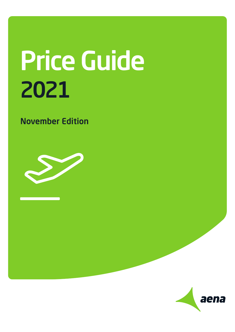# Price Guide 2021

## November Edition



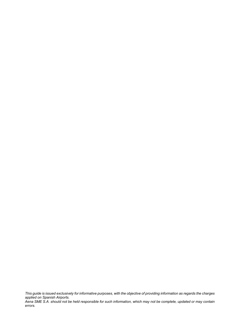*This guide is issued exclusively for informative purposes, with the objective of providing information as regards the charges applied on Spanish Airports. Aena SME S.A. should not be held responsible for such information, which may not be complete, updated or may contain errors.*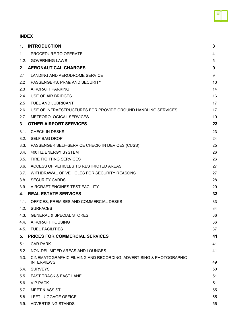## **INDEX**

|      | 1. INTRODUCTION                                                                        | 3  |
|------|----------------------------------------------------------------------------------------|----|
| 1.1. | PROCEDURE TO OPERATE                                                                   | 4  |
| 1.2. | <b>GOVERNING LAWS</b>                                                                  | 5  |
|      | 2. AERONAUTICAL CHARGES                                                                | 9  |
| 2.1  | LANDING AND AERODROME SERVICE                                                          | 9  |
| 2.2  | PASSENGERS, PRMs AND SECURITY                                                          | 13 |
| 2.3  | <b>AIRCRAFT PARKING</b>                                                                | 14 |
| 2.4  | USE OF AIR BRIDGES                                                                     | 16 |
| 2.5  | <b>FUEL AND LUBRICANT</b>                                                              | 17 |
| 2.6  | USE OF INFRAESTRUCTURES FOR PROVIDE GROUND HANDLING SERVICES                           | 17 |
| 2.7  | METEOROLOGICAL SERVICES                                                                | 19 |
| 3.   | <b>OTHER AIRPORT SERVICES</b>                                                          | 23 |
| 3.1. | <b>CHECK-IN DESKS</b>                                                                  | 23 |
| 3.2. | <b>SELF BAG DROP</b>                                                                   | 24 |
| 3.3. | PASSENGER SELF-SERVICE CHECK- IN DEVICES (CUSS)                                        | 25 |
| 3.4. | 400 HZ ENERGY SYSTEM                                                                   | 26 |
| 3.5. | FIRE FIGHTING SERVICES                                                                 | 26 |
| 3.6. | ACCESS OF VEHICLES TO RESTRICTED AREAS                                                 | 27 |
| 3.7. | WITHDRAWAL OF VEHICLES FOR SECURITY REASONS                                            | 27 |
| 3.8. | <b>SECURITY CARDS</b>                                                                  | 28 |
| 3.9. | AIRCRAFT ENGINES TEST FACILITY                                                         | 29 |
|      | 4. REAL ESTATE SERVICES                                                                | 33 |
| 4.1. | OFFICES, PREMISES AND COMMERCIAL DESKS                                                 | 33 |
| 4.2. | <b>SURFACES</b>                                                                        | 34 |
| 4.3. | <b>GENERAL &amp; SPECIAL STORES</b>                                                    | 36 |
| 4.4. | <b>AIRCRAFT HOUSING</b>                                                                | 36 |
|      | 4.5. FUEL FACILITIES                                                                   | 37 |
| 5.   | PRICES FOR COMMERCIAL SERVICES                                                         | 41 |
| 5.1. | <b>CAR PARK.</b>                                                                       | 41 |
| 5.2. | NON-DELIMITED AREAS AND LOUNGES                                                        | 41 |
| 5.3. | CINEMATOGRAPHIC FILMING AND RECORDING, ADVERTISING & PHOTOGRAPHIC<br><b>INTERVIEWS</b> | 49 |
| 5.4. | SURVEYS                                                                                | 50 |
| 5.5. | <b>FAST TRACK &amp; FAST LANE</b>                                                      | 51 |
| 5.6. | <b>VIP PACK</b>                                                                        | 51 |
| 5.7. | <b>MEET &amp; ASSIST</b>                                                               | 55 |
| 5.8. | LEFT LUGGAGE OFFICE                                                                    | 55 |
| 5.9. | ADVERTISING STANDS                                                                     | 56 |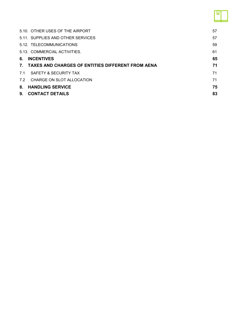| 5.10. OTHER USES OF THE AIRPORT                      | 57 |
|------------------------------------------------------|----|
| 5.11. SUPPLIES AND OTHER SERVICES                    | 57 |
| 5.12. TELECOMMUNICATIONS                             | 59 |
| 5.13. COMMERCIAL ACTIVITIES.                         | 61 |
| <b>INCENTIVES</b><br>6.                              | 65 |
| 7. TAXES AND CHARGES OF ENTITIES DIFFERENT FROM AENA | 71 |
| 7.1<br>SAFETY & SECURITY TAX                         | 71 |
| 7.2<br>CHARGE ON SLOT ALLOCATION                     | 71 |
| <b>HANDLING SERVICE</b><br>8.                        | 75 |
| <b>CONTACT DETAILS</b><br>9.                         | 83 |

णि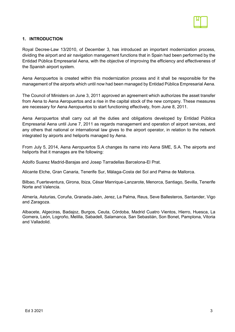

#### <span id="page-4-0"></span>**1. INTRODUCTION**

Royal Decree-Law 13/2010, of December 3, has introduced an important modernization process, dividing the airport and air navigation management functions that in Spain had been performed by the Entidad Pública Empresarial Aena, with the objective of improving the efficiency and effectiveness of the Spanish airport system.

Aena Aeropuertos is created within this modernization process and it shall be responsible for the management of the airports which until now had been managed by Entidad Pública Empresarial Aena.

The Council of Ministers on June 3, 2011 approved an agreement which authorizes the asset transfer from Aena to Aena Aeropuertos and a rise in the capital stock of the new company. These measures are necessary for Aena Aeropuertos to start functioning effectively, from June 8, 2011.

Aena Aeropuertos shall carry out all the duties and obligations developed by Entidad Pública Empresarial Aena until June 7, 2011 as regards management and operation of airport services, and any others that national or international law gives to the airport operator, in relation to the network integrated by airports and heliports managed by Aena.

From July 5, 2014, Aena Aeropuertos S.A changes its name into Aena SME, S.A. The airports and heliports that it manages are the following:

Adolfo Suarez Madrid-Barajas and Josep Tarradellas Barcelona-El Prat.

Alicante Elche, Gran Canaria, Tenerife Sur, Málaga-Costa del Sol and Palma de Mallorca.

Bilbao, Fuerteventura, Girona, Ibiza, César Manrique-Lanzarote, Menorca, Santiago, Sevilla, Tenerife Norte and Valencia.

Almería, Asturias, Coruña, Granada-Jaén, Jerez, La Palma, Reus, Seve Ballesteros, Santander, Vigo and Zaragoza.

Albacete, Algeciras, Badajoz, Burgos, Ceuta, Córdoba, Madrid Cuatro Vientos, Hierro, Huesca, La Gomera, León, Logroño, Melilla, Sabadell, Salamanca, San Sebastián, Son Bonet, Pamplona, Vitoria and Valladolid.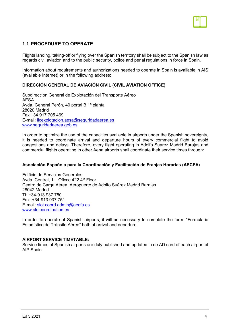

#### <span id="page-5-0"></span>**1.1.PROCEDURE TO OPERATE**

Flights landing, taking-off or flying over the Spanish territory shall be subject to the Spanish law as regards civil aviation and to the public security, police and penal regulations in force in Spain.

Information about requirements and authorizations needed to operate in Spain is available in AIS (available Internet) or in the following address:

#### **DIRECCIÓN GENERAL DE AVIACIÓN CIVIL (CIVIL AVIATION OFFICE)**

Subdirección General de Explotación del Transporte Aéreo AESA Avda. General Perón, 40 portal B 1ª planta 28020 Madrid Fax:+34 917 705 469 E-mail: [licexplotacion.aesa@seguridadaerea.es](mailto:licexplotacion.aesa@seguridadaerea.es) [www.seguridadaerea.gob.es](http://www.seguridadaerea.gob.es/)

In order to optimize the use of the capacities available in airports under the Spanish sovereignty, it is needed to coordinate arrival and departure hours of every commercial flight to avoid congestions and delays. Therefore, every flight operating in Adolfo Suarez Madrid Barajas and commercial flights operating in other Aena airports shall coordinate their service times through:

#### **Asociación Española para la Coordinación y Facilitación de Franjas Horarias (AECFA)**

Edificio de Servicios Generales Avda. Central,  $1 -$  Oficce 422  $4<sup>th</sup>$  Floor. Centro de Carga Aérea. Aeropuerto de Adolfo Suárez Madrid Barajas 28042 Madrid Tf: +34-913 937 750 Fax: +34-913 937 751 E-mail: [slot.coord.admin@aecfa.es](mailto:slot.coord.admin@aecfa.es) [www.slotcoordination.es](http://www.slotcoordination.es/)

In order to operate at Spanish airports, it will be necessary to complete the form: "Formulario Estadístico de Tránsito Aéreo" both at arrival and departure.

#### **AIRPORT SERVICE TIMETABLE:**

Service times of Spanish airports are duly published and updated in de AD card of each airport of AIP Spain.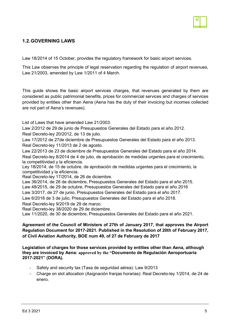

## <span id="page-6-0"></span>**1.2.GOVERNING LAWS**

Law 18/2014 of 15 October, provides the regulatory framework for basic airport services.

This Law observes the principle of legal reservation regarding the regulation of airport revenues, Law 21/2003, amended by Law 1/2011 of 4 March.

This guide shows the basic airport services charges, that revenues generated by them are considered as public patrimonial benefits, prices for commercial services and charges of services provided by entities other than Aena (Aena has the duty of their invoicing but incomes collected are not part of Aena's revenues).

List of Laws that have amended Law 21/2003:

Law 2/2012 de 29 de junio de Presupuestos Generales del Estado para el año 2012.

Real Decreto-ley 20/2012, de 13 de julio.

Law 17/2012 de 27de diciembre de Presupuestos Generales del Estado para el año 2013. Real Decreto-ley 11/2013 de 2 de agosto.

Law 22/2013 de 23 de diciembre de Presupuestos Generales del Estado para el año 2014. Real Decreto-ley 8/2014 de 4 de julio, de aprobación de medidas urgentes para el crecimiento, la competitividad y la eficiencia.

Ley 18/2014, de 15 de octubre, de aprobación de medidas urgentes para el crecimiento, la competitividad y la eficiencia.

Real Decreto-ley 17/2014, de 26 de diciembre.

Law 36/2014, de 26 de diciembre, Presupuestos Generales del Estado para el año 2015.

Law 48/2015, de 29 de octubre, Presupuestos Generales del Estado para el año 2016

Law 3/2017, de 27 de junio, Presupuestos Generales del Estado para el año 2017.

Law 6/2018 de 3 de julio, Presupuestos Generales del Estado para el año 2018.

Real Decreto-ley 9/2019 de 29 de marzo.

Real Decreto-ley 38/2020 de 29 de diciembre.

Law 11/2020, de 30 de diciembre, Presupuestos Generales del Estado para el año 2021.

#### **Agreement of the Council of Ministers of 27th of January 2017, that approves the Airport Regulation Document for 2017-2021. Published in the Resolution of 20th of February 2017, of Civil Aviation Authority, BOE num 49, of 27 de February de 2017**

**Legislation of charges for those services provided by entities other than Aena, although they are invoiced by Aena: approved by the "Documento de Regulación Aeroportuaria 2017-2021" (DORA).**

- Safety and security tax (Tasa de seguridad aérea): Law 9/2013
- Charge on slot allocation (Asignación franjas horarias): Real Decreto-ley 1/2014, de 24 de enero.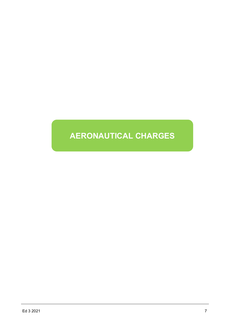# **AERONAUTICAL CHARGES**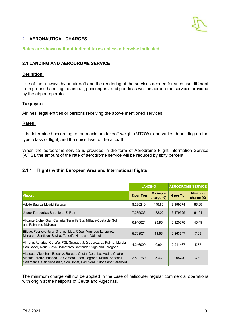

#### <span id="page-10-0"></span>**2. AERONAUTICAL CHARGES**

**Rates are shown without indirect taxes unless otherwise indicated.**

#### <span id="page-10-1"></span>**2.1 LANDING AND AERODROME SERVICE**

#### **Definition:**

Use of the runways by an aircraft and the rendering of the services needed for such use different from ground handling, to aircraft, passengers, and goods as well as aerodrome services provided by the airport operator.

#### **Taxpayer:**

Airlines, legal entities or persons receiving the above mentioned services.

#### **Rates:**

It is determined according to the maximum takeoff weight (MTOW), and varies depending on the type, class of flight, and the noise level of the aircraft.

When the aerodrome service is provided in the form of Aerodrome Flight Information Service (AFIS), the amount of the rate of aerodrome service will be reduced by sixty percent.

#### **2.1.1 Flights within European Area and International flights**

|                                                                                                                                                                                                                        | <b>LANDING</b>     |                                |                    | <b>AERODROME SERVICE</b>              |
|------------------------------------------------------------------------------------------------------------------------------------------------------------------------------------------------------------------------|--------------------|--------------------------------|--------------------|---------------------------------------|
| <b>Airport</b>                                                                                                                                                                                                         | $\epsilon$ per Ton | <b>Minimum</b><br>charge $(E)$ | $\epsilon$ per Ton | <b>Minimum</b><br>charge $(\epsilon)$ |
| Adolfo Suarez Madrid-Barajas                                                                                                                                                                                           | 8,269210           | 149,89                         | 3,199274           | 65,29                                 |
| Josep Tarradellas Barcelona-El Prat                                                                                                                                                                                    | 7,285036           | 132,02                         | 3,179525           | 64,91                                 |
| Alicante-Elche, Gran Canaria, Tenerife Sur, Málaga-Costa del Sol<br>and Palma de Mallorca                                                                                                                              | 6.910621           | 93.95                          | 3,120278           | 46,49                                 |
| Bilbao, Fuerteventura, Girona, Ibiza, César Manrique-Lanzarote,<br>Menorca, Santiago, Sevilla, Tenerife Norte and Valencia                                                                                             | 5,798074           | 13,55                          | 2,863547           | 7,05                                  |
| Almería, Asturias, Coruña, FGL Granada-Jaén, Jerez, La Palma, Murcia<br>San Javier, Reus, Seve Ballesteros Santander, Vigo and Zaragoza                                                                                | 4,246929           | 9,99                           | 2,241467           | 5,57                                  |
| Albacete, Algeciras, Badajoz, Burgos, Ceuta, Córdoba, Madrid Cuatro<br>Vientos, Hierro, Huesca, La Gomera, León, Logroño, Melilla, Sabadell,<br>Salamanca, San Sebastián, Son Bonet, Pamplona, Vitoria and Valladolid. | 2,802760           | 5,43                           | 1.905740           | 3,89                                  |

The minimum charge will not be applied in the case of helicopter regular commercial operations with origin at the heliports of Ceuta and Algeciras.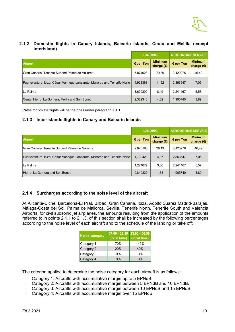

#### **2.1.2 Domestic flights in Canary Islands, Balearic Islands, Ceuta and Melilla (except interisland)**

|                                                                            | <b>LANDING</b>     |                                       | <b>AERODROME SERVICE</b> |                                       |
|----------------------------------------------------------------------------|--------------------|---------------------------------------|--------------------------|---------------------------------------|
| <b>Airport</b>                                                             | $\epsilon$ per Ton | <b>Minimum</b><br>charge $(\epsilon)$ | $\epsilon$ per Ton       | <b>Minimum</b><br>charge $(\epsilon)$ |
| Gran Canaria, Tenerife Sur and Palma de Mallorca                           | 5,874028           | 79,86                                 | 3,120278                 | 46,49                                 |
| Fuerteventura, Ibiza, César Manrique-Lanzarote, Menorca and Tenerife Norte | 4,928363           | 11,52                                 | 2,863547                 | 7,05                                  |
| La Palma                                                                   | 3,609890           | 8,49                                  | 2,241467                 | 5,57                                  |
| Ceuta, Hierro, La Gomera, Melilla and Son Bonet.                           | 2,382346           | 4,62                                  | 1,905740                 | 3,89                                  |

Rates for private flights will be the ones under paragraph 2.1.1

#### **2.1.3 Inter-Islands flights in Canary and Balearic Islands**

|                                                                            | <b>LANDING</b>     |                                | <b>AERODROME SERVICE</b> |                                       |
|----------------------------------------------------------------------------|--------------------|--------------------------------|--------------------------|---------------------------------------|
| <b>Airport</b>                                                             | $\epsilon$ per Ton | <b>Minimum</b><br>charge $(€)$ | $\epsilon$ per Ton       | <b>Minimum</b><br>charge $(\epsilon)$ |
| Gran Canaria, Tenerife Sur and Palma de Mallorca                           | 2,073186           | 28,19                          | 3.120278                 | 46,49                                 |
| Fuerteventura, Ibiza, César Manrique-Lanzarote, Menorca and Tenerife Norte | 1,739423           | 4,07                           | 2,863547                 | 7,05                                  |
| La Palma                                                                   | 1,274079           | 3,00                           | 2.241467                 | 5,57                                  |
| Hierro, La Gomera and Son Bonet.                                           | 0,840829           | 1,63                           | 1,905740                 | 3,89                                  |

#### **2.1.4 Surcharges according to the noise level of the aircraft**

At Alicante-Elche, Barcelona-El Prat, Bilbao, Gran Canaria, Ibiza, Adolfo Suarez Madrid-Barajas, Málaga-Costa del Sol, Palma de Mallorca, Sevilla, Tenerife North, Tenerife South and Valencia Airports, for civil subsonic jet airplanes, the amounts resulting from the application of the amounts referred to in points 2.1.1 to 2.1.3. of this section shall be increased by the following percentages according to the noise level of each aircraft and to the schedule of the landing or take off:

| <b>Noise category</b> | $07:00 - 22:59$ 23:00 - 06:59<br>(local time) | (local time) |
|-----------------------|-----------------------------------------------|--------------|
| Category 1            | 70%                                           | 140%         |
| Category 2            | 20%                                           | 40%          |
| Category 3            | 0%                                            | 0%           |
| Category 4            | 0%                                            | 0%           |

The criterion applied to determine the noise category for each aircraft is as follows:

- Category 1: Aircrafts with accumulative margin up to 5 EPNdB.
- Category 2: Aircrafts with accumulative margin between 5 EPNdB and 10 EPNdB.
- Category 3: Aircrafts with accumulative margin between 10 EPNdB and 15 EPNdB.
- Category 4: Aircrafts with accumulative margin over 15 EPNdB.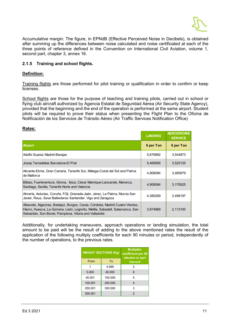

Accumulative margin: The figure, in EPNdB (Effective Perceived Noise in Decibels), is obtained after summing up the differences between noise calculated and noise certificated at each of the three points of reference defined in the Convention on International Civil Aviation, volume 1, second part, chapter 3, annex 16.

#### **2.1.5 Training and school flights.**

#### **Definition:**

Training flights are those performed for pilot training or qualification in order to confirm or keep licenses.

School flights are those for the purpose of teaching and training pilots, carried out in school or flying club aircraft authorized by Agencia Estatal de Seguridad Aérea (Air Security State Agency), provided that the beginning and the end of the operation is performed at the same airport. Student pilots will be required to prove their status when presenting the Flight Plan to the Oficina de Notificación de los Servicios de Tránsito Aéreo (Air Traffic Services Notification Office)

#### **Rates:**

|                                                                                                                                                                                                                        | <b>LANDING</b>     | <b>AERODROME</b><br><b>SERVICE</b> |
|------------------------------------------------------------------------------------------------------------------------------------------------------------------------------------------------------------------------|--------------------|------------------------------------|
| <b>Airport</b>                                                                                                                                                                                                         | $\epsilon$ per Ton | $\epsilon$ per Ton                 |
| Adolfo Suarez Madrid-Barajas                                                                                                                                                                                           | 5,676892           | 3,544873                           |
| Josep Tarradellas Barcelona-El Prat                                                                                                                                                                                    | 5,468565           | 3,525125                           |
| Alicante-Elche, Gran Canaria, Tenerife Sur, Málaga-Costa del Sol and Palma<br>de Mallorca                                                                                                                              | 4.906084           | 3.465879                           |
| Bilbao, Fuerteventura, Girona, Ibiza, César Manrique-Lanzarote, Menorca,<br>Santiago, Sevilla, Tenerife Norte and Valencia                                                                                             | 4,906084           | 3,179525                           |
| Almería, Asturias, Coruña, FGL Granada-Jaén, Jerez, La Palma, Murcia San<br>Javier, Reus, Seve Ballesteros Santander, Vigo and Zaragoza                                                                                | 4,385269           | 2.498197                           |
| Albacete, Algeciras, Badajoz, Burgos, Ceuta, Córdoba, Madrid Cuatro Vientos,<br>Hierro, Huesca, La Gomera, León, Logroño, Melilla, Sabadell, Salamanca, San<br>Sebastián, Son Bonet, Pamplona, Vitoria and Valladolid. | 3,874869           | 2,113100                           |

Additionally, for undertaking maneuvers, approach operations or landing simulation, the total amount to be paid will be the result of adding to the above mentioned rates the result of the application of the following multiply coefficients for each 90 minutes or period, independently of the number of operations, to the previous rates.

| <b>WEIGHT SECTIONS (Kg)</b> |         | <b>Multiplier</b><br>coefficient per 90<br>minutes or part |
|-----------------------------|---------|------------------------------------------------------------|
| From                        | To      | thereof                                                    |
| 1                           | 4.999   | 2                                                          |
| 5.000                       | 40.000  | 6                                                          |
| 40.001                      | 100.000 | 5                                                          |
| 100.001                     | 250.000 | 4                                                          |
| 250.001                     | 300.000 | 3                                                          |
| 300.001                     |         | $\mathcal{P}$                                              |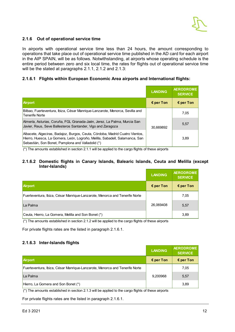

#### **2.1.6 Out of operational service time**

In airports with operational service time less than 24 hours, the amount corresponding to operations that take place out of operational service time published in the AD card for each airport in the AIP SPAIN, will be as follows. Notwithstanding, at airports whose operating schedule is the entire period between zero and six local time, the rates for flights out of operational service time will be the stated at paragraphs 2.1.1, 2.1.2 and 2.1.3:

#### **2.1.6.1 Flights within European Economic Area airports and International flights:**

|                                                                                                                                                                                                                  | <b>LANDING</b>     | <b>AERODROME</b><br><b>SERVICE</b> |
|------------------------------------------------------------------------------------------------------------------------------------------------------------------------------------------------------------------|--------------------|------------------------------------|
| <b>Airport</b>                                                                                                                                                                                                   | $\epsilon$ per Ton | $\epsilon$ per Ton                 |
| Bilbao, Fuerteventura, Ibiza, César Manrique-Lanzarote, Menorca, Sevilla and<br>Tenerife Norte                                                                                                                   |                    | 7.05                               |
| Almería, Asturias, Coruña, FGL Granada-Jaén, Jerez, La Palma, Murcia San<br>Javier, Reus, Seve Ballesteros Santander, Vigo and Zaragoza                                                                          | 30.669892          | 5.57                               |
| Albacete, Algeciras, Badajoz, Burgos, Ceuta, Córdoba, Madrid Cuatro Vientos,<br>Hierro, Huesca, La Gomera, León, Logroño, Melilla, Sabadell, Salamanca, San<br>Sebastián, Son Bonet, Pamplona and Valladolid (*) |                    | 3.89                               |

(\*) The amounts established in section 2.1.1 will be applied to the cargo flights of these airports

#### **2.1.6.2 Domestic flights in Canary Islands, Balearic Islands, Ceuta and Melilla (except Inter-Islands)**

|                                                                            | <b>LANDING</b>     | <b>AERODROME</b><br><b>SERVICE</b> |
|----------------------------------------------------------------------------|--------------------|------------------------------------|
| <b>Airport</b>                                                             | $\epsilon$ per Ton | $\epsilon$ per Ton                 |
| Fuerteventura, Ibiza, César Manrique-Lanzarote, Menorca and Tenerife Norte |                    | 7,05                               |
| La Palma                                                                   | 26,069408          | 5,57                               |
| Ceuta, Hierro, La Gomera, Melilla and Son Bonet (*)                        |                    | 3,89                               |

 $(*)$  The amounts established in section 2.1.2 will be applied to the cargo flights of these airports

For private flights rates are the listed in paragraph 2.1.6.1.

#### **2.1.6.3 Inter-Islands flights**

|                                                                            | <b>LANDING</b>     | <b>AERODROME</b><br><b>SERVICE</b> |
|----------------------------------------------------------------------------|--------------------|------------------------------------|
| <b>Airport</b>                                                             | $\epsilon$ per Ton | $\epsilon$ per Ton                 |
| Fuerteventura, Ibiza, César Manrique-Lanzarote, Menorca and Tenerife Norte |                    | 7,05                               |
| La Palma                                                                   | 9,200968           | 5,57                               |
| Hierro, La Gomera and Son Bonet $(*)$                                      |                    | 3,89                               |

(\*) The amounts established in section 2.1.3 will be applied to the cargo flights of these airports

For private flights rates are the listed in paragraph 2.1.6.1.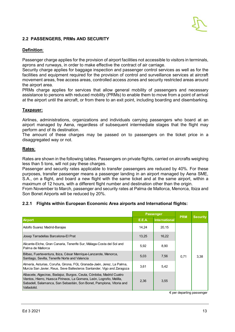#### <span id="page-14-0"></span>**2.2 PASSENGERS, PRMs AND SECURITY**

#### **Definition**:

Passenger charge applies for the provision of airport facilities not accessible to visitors in terminals, aprons and runways, in order to make effective the contract of air carriage.

Security charge applies for baggage inspection and passenger control services as well as for the facilities and equipment required for the provision of control and surveillance services at aircraft movement areas, free access areas, controlled access zones and security restricted areas around the airport area.

PRMs charge applies for services that allow general mobility of passengers and necessary assistance to persons with reduced mobility (PRMs) to enable them to move from a point of arrival at the airport until the aircraft, or from there to an exit point, including boarding and disembarking.

#### **Taxpayer:**

Airlines, administrations, organizations and individuals carrying passengers who board at an airport managed by Aena, regardless of subsequent intermediate stages that the flight may perform and of its destination.

The amount of these charges may be passed on to passengers on the ticket price in a disaggregated way or not.

#### **Rates**:

Rates are shown in the following tables. Passengers on private flights, carried on aircrafts weighing less than 5 tons, will not pay these charges.

Passenger and security rates applicable to transfer passengers are reduced by 40%. For these purposes, transfer passenger means a passenger landing in an airport managed by Aena SME, S.A., on a flight, and board a new flight with the same ticket and at the same airport, within a maximum of 12 hours, with a different flight number and destination other than the origin.

From November to March, passenger and security rates at Palma de Mallorca, Menorca, Ibiza and Son Bonet Airports will be reduced by 20%.

#### **2.2.1 Flights within European Economic Area airports and International flights:**

|                                                                                                                                                                                                                                    |        | <b>Passenger</b>     | <b>PRM</b> | <b>Security</b> |
|------------------------------------------------------------------------------------------------------------------------------------------------------------------------------------------------------------------------------------|--------|----------------------|------------|-----------------|
| <b>Airport</b>                                                                                                                                                                                                                     | E.E.A. | <b>International</b> |            |                 |
| Adolfo Suarez Madrid-Barajas                                                                                                                                                                                                       | 14.24  | 20,15                |            |                 |
| Josep Tarradellas Barcelona-El Prat                                                                                                                                                                                                | 13,25  | 16,22                |            |                 |
| Alicante-Elche, Gran Canaria, Tenerife Sur, Málaga-Costa del Sol and<br>Palma de Mallorca                                                                                                                                          | 5,92   | 8,90                 |            |                 |
| Bilbao, Fuerteventura, Ibiza, César Manrique-Lanzarote, Menorca,<br>Santiago, Sevilla, Tenerife Norte and Valencia                                                                                                                 | 5,03   | 7.56                 | 0.71       | 3,38            |
| Almería, Asturias, Coruña, Girona, FGL Granada-Jaén, Jerez, La Palma,<br>Murcia San Javier, Reus, Seve Ballesteros Santander, Vigo and Zaragoza                                                                                    | 3,61   | 5,42                 |            |                 |
| Albacete, Algeciras, Badajoz, Burgos, Ceuta, Córdoba, Madrid Cuatro<br>Vientos, Hierro, Huesca Pirineos, La Gomera, León, Logroño, Melilla,<br>Sabadell, Salamanca, San Sebastián, Son Bonet, Pamplona, Vitoria and<br>Valladolid. | 2,36   | 3,55                 |            |                 |

€ per departing passenger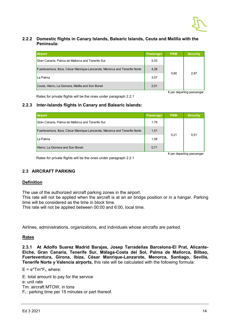

#### **2.2.2 Domestic flights in Canary Islands, Balearic Islands, Ceuta and Melilla with the Peninsula:**

| <b>Airport</b>                                                             | <b>Passenger</b> | <b>PRM</b> | <b>Security</b> |
|----------------------------------------------------------------------------|------------------|------------|-----------------|
| Gran Canaria, Palma de Mallorca and Tenerife Sur                           | 5,03             |            |                 |
| Fuerteventura, Ibiza, César Manrique-Lanzarote, Menorca and Tenerife Norte | 4,28             |            |                 |
| La Palma                                                                   | 3,07             | 0,60       | 2,87            |
| Ceuta, Hierro, La Gomera, Melilla and Son Bonet                            | 2,01             |            |                 |

Rates for private flights will be the ones under paragraph 2.2.1

€ per departing passenger

#### **2.2.3 Inter-Islands flights in Canary and Balearic Islands:**

| <b>Airport</b>                                                             | <b>Passenger</b> | <b>PRM</b> | <b>Security</b>                    |
|----------------------------------------------------------------------------|------------------|------------|------------------------------------|
| Gran Canaria, Palma de Mallorca and Tenerife Sur                           | 1,78             |            |                                    |
| Fuerteventura, Ibiza, César Manrique-Lanzarote, Menorca and Tenerife Norte | 1,51             | 0,21       | 0,51                               |
| La Palma                                                                   | 1,08             |            |                                    |
| Hierro, La Gomera and Son Bonet                                            | 0,71             |            |                                    |
|                                                                            |                  |            | $\epsilon$ per departing passenger |

Rates for private flights will be the ones under paragraph 2.2.1

#### <span id="page-15-0"></span>**2.3 AIRCRAFT PARKING**

#### **Definition**

The use of the authorized aircraft parking zones in the airport.

This rate will not be applied when the aircraft is at an air bridge position or in a hangar. Parking time will be considered as the time in block time.

This rate will not be applied between 00:00 and 6:00, local time.

Airlines, administrations, organizations, and individuals whose aircrafts are parked.

#### **Rates**

**2.3.1 At Adolfo Suarez Madrid Barajas, Josep Tarradellas Barcelona-El Prat, Alicante-Elche, Gran Canaria, Tenerife Sur, Málaga-Costa del Sol, Palma de Mallorca, Bilbao, Fuerteventura, Girona, Ibiza, César Manrique-Lanzarote, Menorca, Santiago, Sevilla, Tenerife Norte y Valencia airports,** this rate will be calculated with the following formula:

 $E = e^*Tm^*F_t$ , where:

E: total amount to pay for the service e: unit rate Tm: aircraft MTOW, in tons  $F_t$ : parking time per 15 minutes or part thereof.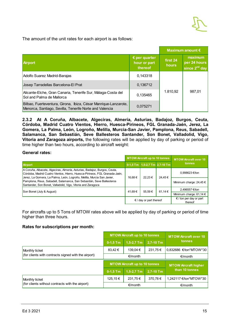

The amount of the unit rates for each airport is as follows:

|                                                                                                                            |                                                   |                   | Maximum amount $\epsilon$                            |
|----------------------------------------------------------------------------------------------------------------------------|---------------------------------------------------|-------------------|------------------------------------------------------|
| <b>Airport</b>                                                                                                             | $\epsilon$ per quarter<br>hour or part<br>thereof | first 24<br>hours | maximum<br>per 24 hours<br>since 2 <sup>nd</sup> day |
| Adolfo Suarez Madrid-Barajas                                                                                               | 0,143318                                          |                   |                                                      |
| Josep Tarradellas Barcelona-El Prat                                                                                        | 0,136712                                          |                   |                                                      |
| Alicante-Elche, Gran Canaria, Tenerife Sur, Málaga-Costa del<br>Sol and Palma de Mallorca                                  | 0.135465                                          | 1.810,92          | 987.01                                               |
| Bilbao, Fuerteventura, Girona, Ibiza, César Manrique-Lanzarote,<br>Menorca, Santiago, Sevilla, Tenerife Norte and Valencia | 0,075271                                          |                   |                                                      |

**2.3.2 At A Coruña, Albacete, Algeciras, Almería, Asturias, Badajoz, Burgos, Ceuta, Córdoba, Madrid Cuatro Vientos, Hierro, Huesca-Pirineos, FGL Granada-Jaén, Jerez, La Gomera, La Palma, León, Logroño, Melilla, Murcia-San Javier, Pamplona, Reus, Sabadell, Salamanca, San Sebastián, Seve Ballesteros Santander, Son Bonet, Valladolid, Vigo, Vitoria and Zaragoza airports,** the following rates will be applied by day of parking or period of time higher than two hours, according to aircraft weight:

#### **General rates:**

|                                                                                                                                                                                                                                   | MTOW Aircraft up to 10 tonnes    |                               |                                             | MTOW Aircraft over 10       |
|-----------------------------------------------------------------------------------------------------------------------------------------------------------------------------------------------------------------------------------|----------------------------------|-------------------------------|---------------------------------------------|-----------------------------|
| <b>Airport</b>                                                                                                                                                                                                                    |                                  | 0-1.5 Tm 1.5-2.7 Tm 2.7-10 Tm |                                             | tonnes                      |
| A Coruña, Albacete, Algeciras, Almería, Asturias, Badajoz, Burgos, Ceuta,<br>Córdoba, Madrid Cuatro Vientos, Hierro, Huesca-Pirineos, FGL Granada-Jaén,<br>Jerez, La Gomera, La Palma, León, Logroño, Melilla, Murcia San Javier, | 16.68€                           | 22,23 €                       | 24.45€                                      | 0,998623 €/ton              |
| Pamplona, Reus, Sabadell, Salamanca, San Sebastián, Seve Ballesteros<br>Santander, Son Bonet, Valladolid, Vigo, Vitoria and Zaragoza                                                                                              |                                  |                               |                                             | Minimum charge: 24,45 $\in$ |
| Son Bonet (July & August)                                                                                                                                                                                                         | 41.69€<br>55.59€                 |                               | 61.14 €                                     | 2,496557 €/ton              |
|                                                                                                                                                                                                                                   |                                  |                               |                                             | Minimum charge: 61,14 $\in$ |
|                                                                                                                                                                                                                                   | $\epsilon$ / day or part thereof |                               | $\epsilon$ / ton per day or part<br>thereof |                             |

For aircrafts up to 5 Tons of MTOW rates above will be applied by day of parking or period of time higher than three hours.

#### **Rates for subscriptions per month:**

| <b>MTOW Aircraft up to 10 tonnes</b>                                                    |                                      |              |           | <b>MTOW Aircraft over 10</b> |  |
|-----------------------------------------------------------------------------------------|--------------------------------------|--------------|-----------|------------------------------|--|
|                                                                                         | $0-1,5$ Tm                           | $1,5-2,7$ Tm | 2,7-10 Tm | tonnes                       |  |
| Monthly ticket                                                                          | 83,42€                               | 139,04 €     | 231,75€   | 0,832686 €/ton*MTOW*30       |  |
| $\sqrt{\frac{1}{100}}$ (for clients with contracts signed with the airport)             | €/month                              |              |           | €/month                      |  |
|                                                                                         | <b>MTOW Aircraft up to 10 tonnes</b> |              |           |                              |  |
|                                                                                         |                                      |              |           | <b>MTOW Aircraft higher</b>  |  |
|                                                                                         | $0-1,5$ Tm                           | $1,5-2,7$ Tm | 2,7-10 Tm | than 10 tonnes               |  |
| Monthly ticket<br>$\sqrt{\frac{1}{1}}$ (for clients without contracts with the airport) | 125,15€                              | 231,75€      | 370,78€   | 1,242117 €/ton*MTOW*30       |  |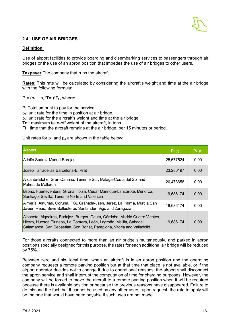

#### <span id="page-17-0"></span>**2.4 USE OF AIR BRIDGES**

#### **Definition**:

Use of airport facilities to provide boarding and disembarking services to passengers through air bridges or the use of an apron position that impedes the use of air bridges to other users.

**Taxpayer** The company that runs the aircraft.

**Rates**: This rate will be calculated by considering the aircraft's weight and time at the air bridge with the following formula:

 $P = (p_1 + p_2^* Tm)^* F_t$ , where:

P: Total amount to pay for the service.  $p_1$ : unit rate for the time in position at air bridge. p2: unit rate for the aircraft's weight and time at the air bridge. Tm: maximum take-off weight of the aircraft, in tons. Ft : time that the aircraft remains at the air bridge, per 15 minutes or period.

Unit rates for  $p_1$  and  $p_2$  are shown in the table below:

| <b>Airport</b>                                                                                                                                                                                                                  | $P_1(\epsilon)$ | $P_2$ ( $\epsilon$ ) |
|---------------------------------------------------------------------------------------------------------------------------------------------------------------------------------------------------------------------------------|-----------------|----------------------|
| Adolfo Suárez Madrid-Barajas                                                                                                                                                                                                    | 25,677524       | 0,00                 |
| Josep Tarradellas Barcelona-El Prat                                                                                                                                                                                             | 23,280197       | 0,00                 |
| Alicante-Elche, Gran Canaria, Tenerife Sur, Málaga-Costa del Sol and<br>l Palma de Mallorca                                                                                                                                     | 20,473658       | 0,00                 |
| Bilbao, Fuerteventura, Girona, Ibiza, César Manrique-Lanzarote, Menorca,<br>Santiago, Sevilla, Tenerife Norte and Valencia                                                                                                      | 19,686174       | 0,00                 |
| Almería, Asturias, Coruña, FGL Granada-Jaén, Jerez, La Palma, Murcia San<br>Javier, Reus, Seve Ballesteros Santander, Vigo and Zaragoza                                                                                         | 19,686174       | 0,00                 |
| Albacete, Algeciras, Badajoz, Burgos, Ceuta, Córdoba, Madrid Cuatro Vientos,<br>Hierro, Huesca Pirineos, La Gomera, León, Logroño, Melilla, Sabadell,<br>Salamanca, San Sebastián, Son Bonet, Pamplona, Vitoria and Valladolid. | 19,686174       | 0,00                 |

For those aircrafts connected to more than an air bridge simultaneously, and parked in apron positions specially designed for this purpose, the rates for each additional air bridge will be reduced by 75%.

Between zero and six, local time, when an aircraft is in an apron position and the operating company requests a remote parking position but at that time that place is not available, or if the airport operator decides not to change it due to operational reasons, the airport shall disconnect the apron service and shall interrupt the computation of time for charging purposes. However, the company will be forced to move the aircraft to a remote parking position when it will be required because there is available position or because the previous reasons have disappeared. Failure to do this and the fact that it cannot be used by any other users, upon request, the rate to apply will be the one that would have been payable if such uses are not made.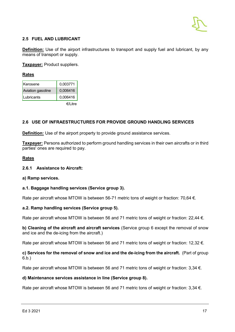

#### <span id="page-18-0"></span>**2.5 FUEL AND LUBRICANT**

**Definition:** Use of the airport infrastructures to transport and supply fuel and lubricant, by any means of transport or supply.

**Taxpayer:** Product suppliers.

#### **Rates**

| <b>Kerosene</b>   | 0,003771 |
|-------------------|----------|
| Aviation gasoline | 0,006416 |
| Lubricants        | 0,006416 |
|                   | ∈/l itre |

#### <span id="page-18-1"></span>**2.6 USE OF INFRAESTRUCTURES FOR PROVIDE GROUND HANDLING SERVICES**

**Definition:** Use of the airport property to provide ground assistance services.

**Taxpayer:** Persons authorized to perform ground handling services in their own aircrafts or in third parties' ones are required to pay.

#### **Rates**

#### **2.6.1 Assistance to Aircraft:**

#### **a) Ramp services.**

#### **a.1. Baggage handling services (Service group 3).**

Rate per aircraft whose MTOW is between 56-71 metric tons of weight or fraction: 70,64  $\epsilon$ .

#### **a.2. Ramp handling services (Service group 5).**

Rate per aircraft whose MTOW is between 56 and 71 metric tons of weight or fraction: 22,44 €.

**b) Cleaning of the aircraft and aircraft services** (Service group 6 except the removal of snow and ice and the de-icing from the aircraft.)

Rate per aircraft whose MTOW is between 56 and 71 metric tons of weight or fraction: 12,32 €.

**c) Services for the removal of snow and ice and the de-icing from the aircraft.** (Part of group 6.b.)

Rate per aircraft whose MTOW is between 56 and 71 metric tons of weight or fraction:  $3.34 \in$ .

#### **d) Maintenance services assistance in line (Service group 8).**

Rate per aircraft whose MTOW is between 56 and 71 metric tons of weight or fraction: 3,34 €.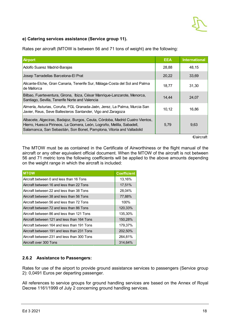

#### **e) Catering services assistance (Service group 11).**

Rates per aircraft (MTOW is between 56 and 71 tons of weight) are the following:

| <b>Airport</b>                                                                                                                                                                                                                 | <b>EEA</b> | <b>International</b> |
|--------------------------------------------------------------------------------------------------------------------------------------------------------------------------------------------------------------------------------|------------|----------------------|
| Adolfo Suarez Madrid-Barajas                                                                                                                                                                                                   | 28,88      | 48.15                |
| Josep Tarradellas Barcelona-El Prat                                                                                                                                                                                            | 20,22      | 33.69                |
| Alicante-Elche, Gran Canaria, Tenerife Sur, Málaga-Costa del Sol and Palma<br>de Mallorca                                                                                                                                      | 18,77      | 31,30                |
| Bilbao, Fuerteventura, Girona, Ibiza, César Manrique-Lanzarote, Menorca,<br>Santiago, Sevilla, Tenerife Norte and Valencia                                                                                                     | 14,44      | 24.07                |
| Almería, Asturias, Coruña, FGL Granada-Jaén, Jerez, La Palma, Murcia San<br>Javier, Reus, Seve Ballesteros Santander, Vigo and Zaragoza                                                                                        | 10,12      | 16.86                |
| Albacete, Algeciras, Badajoz, Burgos, Ceuta, Córdoba, Madrid Cuatro Vientos,<br>Hierro, Huesca Pirineos, La Gomera, León, Logroño, Melilla, Sabadell,<br>Salamanca, San Sebastián, Son Bonet, Pamplona, Vitoria and Valladolid | 5,79       | 9,63                 |

€/aircraft

The MTOW must be as contained in the Certificate of Airworthiness or the flight manual of the aircraft or any other equivalent official document. When the MTOW of the aircraft is not between 56 and 71 metric tons the following coefficients will be applied to the above amounts depending on the weight range in which the aircraft is included:

| <b>MTOW</b>                                 | <b>Coefficient</b> |
|---------------------------------------------|--------------------|
| Aircraft between 0 and less than 16 Tons    | 13,16%             |
| Aircraft between 16 and less than 22 Tons   | 17,51%             |
| Aircraft between 22 and less than 38 Tons   | 28,04%             |
| Aircraft between 38 and less than 56 Tons   | 77,88%             |
| Aircraft between 56 and less than 72 Tons   | 100%               |
| Aircraft between 72 and less than 86 Tons   | 120,33%            |
| Aircraft between 86 and less than 121 Tons  | 135,30%            |
| Aircraft between 121 and less than 164 Tons | 150,28%            |
| Aircraft between 164 and less than 191 Tons | 179,37%            |
| Aircraft between 191 and less than 231 Tons | 202,50%            |
| Aircraft between 231 and less than 300 Tons | 264,81%            |
| Aircraft over 300 Tons                      | 314.64%            |

#### **2.6.2 Assistance to Passengers:**

Rates for use of the airport to provide ground assistance services to passengers (Service group 2): 0,0491 Euros per departing passenger.

All references to service groups for ground handling services are based on the Annex of Royal Decree 1161/1999 of July 2 concerning ground handling services.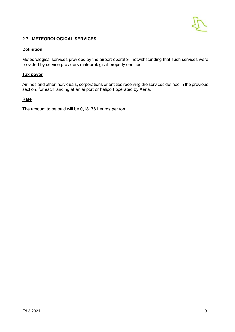

#### <span id="page-20-0"></span>**2.7 METEOROLOGICAL SERVICES**

#### **Definition**

Meteorological services provided by the airport operator, notwithstanding that such services were provided by service providers meteorological properly certified.

#### **Tax payer**

Airlines and other individuals, corporations or entities receiving the services defined in the previous section, for each landing at an airport or heliport operated by Aena.

#### **Rate**

The amount to be paid will be 0,181781 euros per ton.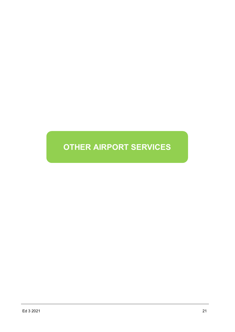## **OTHER AIRPORT SERVICES**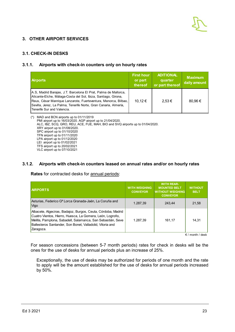

#### <span id="page-24-0"></span>**3. OTHER AIRPORT SERVICES**

#### <span id="page-24-1"></span>**3.1. CHECK-IN DESKS**

#### **3.1.1. Airports with check-in counters only on hourly rates**

| <b>Airports</b>                                                                                                                                                                                                                                                                                        | <b>First hour</b><br>or part<br>thereof | <b>ADITIONAL</b><br>quarter<br>or part thereof | <b>Maximum</b><br>daily amount |
|--------------------------------------------------------------------------------------------------------------------------------------------------------------------------------------------------------------------------------------------------------------------------------------------------------|-----------------------------------------|------------------------------------------------|--------------------------------|
| A.S, Madrid Barajas, J.T. Barcelona El Prat, Palma de Mallorca,<br>Alicante-Elche, Málaga-Costa del Sol, Ibiza, Santiago, Girona,<br>Reus, César Manrique Lanzarote, Fuerteventura, Menorca, Bilbao,<br>Sevilla, Jerez, La Palma, Tenerife Norte, Gran Canaria, Almería,<br>Tenerife Sur and Valencia. | 10,12€                                  | 2.53€                                          | 80.96€                         |

(\*) MAD and BCN airports up to 01/11/2019 PMI airport up to 16/03/2020. AGP airport up to 21/04/2020. ALC, IBZ, SCQ, GRO, REU, ACE, FUE, MAH, BIO and SVQ airports up to 01/04/2020. XRY airport up to 01/08/2020. SPC airport up to 01/10/2020 TFN airport up to 01/11/2020 LPA airport up to 01/12/2020 LEI airport up to 01/02/2021 TFS airport up to 20/02/2021 VLC airport up to 07/10/2021

#### **3.1.2. Airports with check-in counters leased on annual rates and/or on hourly rates**

**Rates** for contracted desks for annual periods:

| <b>ARPORTS</b>                                                                                                                                                                                                                                                     | <b>WITH WEIGHING</b><br><b>CONVEYOR</b> | <b>WITH REAR-</b><br><b>MOUNTED BELT</b><br><b>WITHOUT WEIGHING</b><br><b>CONVEYOR</b> | <b>WITHOUT</b><br><b>BELT</b> |
|--------------------------------------------------------------------------------------------------------------------------------------------------------------------------------------------------------------------------------------------------------------------|-----------------------------------------|----------------------------------------------------------------------------------------|-------------------------------|
| Asturias, Federico G <sup>a</sup> Lorca Granada-Jaén, La Coruña and<br>Vigo                                                                                                                                                                                        | 1.287,39                                | 243.44                                                                                 | 21,58                         |
| Albacete, Algeciras, Badajoz, Burgos, Ceuta, Córdoba, Madrid<br>Cuatro Vientos, Hierro, Huesca, La Gomera, León, Logroño,<br>Melilla, Pamplona, Sabadell, Salamanca, San Sebastián, Seve<br>Ballesteros Santander, Son Bonet, Valladolid, Vitoria and<br>Zaragoza. | 1.287.39                                | 161.17                                                                                 | 14.31                         |

€ / month / desk

For season concessions (between 5-7 month periods) rates for check in desks will be the ones for the use of desks for annual periods plus an increase of 25%.

Exceptionally, the use of desks may be authorized for periods of one month and the rate to apply will be the amount established for the use of desks for annual periods increased by 50%.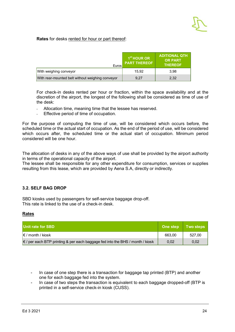#### **Rates** for desks rented for hour or part thereof:

| Euros                                            | $1st$ HOUR OR<br><b>PART THEREOF</b> | <b>ADITIONAL QTH</b><br><b>OR PART</b><br><b>THEREOF</b> |
|--------------------------------------------------|--------------------------------------|----------------------------------------------------------|
| With weighing conveyor                           | 15.92                                | 3.98                                                     |
| With rear-mounted belt without weighing conveyor | 9,27                                 | 2,32                                                     |

For check-in desks rented per hour or fraction, within the space availability and at the discretion of the airport, the longest of the following shall be considered as time of use of the desk:

- Allocation time, meaning time that the lessee has reserved.
- Effective period of time of occupation.

For the purpose of computing the time of use, will be considered which occurs before, the scheduled time or the actual start of occupation. As the end of the period of use, will be considered which occurs after, the scheduled time or the actual start of occupation. Minimum period considered will be one hour.

The allocation of desks in any of the above ways of use shall be provided by the airport authority in terms of the operational capacity of the airport.

The lessee shall be responsible for any other expenditure for consumption, services or supplies resulting from this lease, which are provided by Aena S.A, directly or indirectly.

#### <span id="page-25-0"></span>**3.2. SELF BAG DROP**

SBD kiosks used by passengers for self-service baggage drop-off. This rate is linked to the use of a check-in desk.

#### **Rates**

| Unit rate for SBD                                                                      | One step | <b>Two steps</b> |
|----------------------------------------------------------------------------------------|----------|------------------|
| $\left \epsilon\right $ month / kiosk                                                  | 663.00   | 527.00           |
| $\epsilon$ / per each BTP printing & per each baggage fed into the BHS / month / kiosk | 0.02     | 0.02             |

In case of one step there is a transaction for baggage tap printed (BTP) and another one for each baggage fed into the system.

In case of two steps the transaction is equivalent to each baggage dropped-off (BTP is printed in a self-service check-in kiosk (CUSS).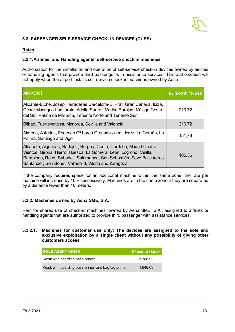#### <span id="page-26-0"></span>**3.3. PASSENGER SELF-SERVICE CHECK- IN DEVICES (CUSS)**

#### **Rates**

#### **3.3.1.Airlines' and Handling agents' self-service check in machines**

Authorization for the installation and operation of self-service check-in devices owned by airlines or handling agents that provide third passenger with assistance services. This authorization will not apply when the airport installs self-service check-in machines owned by Aena

| <b>ARPORT</b>                                                                                                                                                                                                                                                                | $\xi$ / month / kiosk |
|------------------------------------------------------------------------------------------------------------------------------------------------------------------------------------------------------------------------------------------------------------------------------|-----------------------|
| Alicante-Elche, Josep Tarradellas Barcelona-El Prat, Gran Canaria, Ibiza,<br>César Manrique-Lanzarote, Adolfo Suarez Madrid Barajas, Málaga Costa<br>del Sol, Palma de Mallorca, Tenerife Norte and Tenerife Sur                                                             | 210,72                |
| Bilbao, Fuerteventura, Menorca, Sevilla and Valencia                                                                                                                                                                                                                         | 210,72                |
| Almería, Asturias, Federico G <sup>a</sup> Lorca Granada-Jaén, Jerez, La Coruña, La<br>Palma, Santiago and Vigo                                                                                                                                                              | 151,76                |
| Albacete, Algeciras, Badajoz, Burgos, Ceuta, Córdoba, Madrid Cuatro<br>Vientos, Girona, Hierro, Huesca, La Gomera, León, Logroño, Melilla,<br>Pamplona, Reus, Sabadell, Salamanca, San Sebastián, Seve Ballesteros<br>Santander, Son Bonet, Valladolid, Vitoria and Zaragoza | 105,36                |

If the company requires space for an additional machine within the same zone, the rate per machine will increase by 10% successively. Machines are in the same zone if they are separated by a distance fewer than 10 meters.

#### **3.3.2. Machines owned by Aena SME, S.A.**

Rent for shared use of check-in machines, owned by Aena SME, S.A., assigned to airlines or handling agents that are authorized to provide third passenger with assistance services.

**3.3.2.1. Machines for customer use only: The devices are assigned to the sole and exclusive exploitation by a single client without any possibility of giving other customers access.**

| <b>SOLE AGENT KIOSK</b>                              | $\epsilon$ / month / kiosk |
|------------------------------------------------------|----------------------------|
| Kiosk with boarding pass printer                     | 1.788.93                   |
| Kiosk with boarding pass printer and bag tag printer | 1.848,63                   |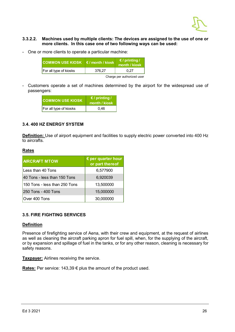

#### **3.3.2.2. Machines used by multiple clients: The devices are assigned to the use of one or more clients. In this case one of two following ways can be used:**

- One or more clients to operate a particular machine:

| <b>I COMMON USE KIOSK</b> | $\epsilon$ / month / kiosk | $\epsilon$ / printing /<br>month / kiosk |
|---------------------------|----------------------------|------------------------------------------|
| For all type of kiosks    | 376.27                     | 0.27                                     |

Charge per authorized user

- Customers operate a set of machines determined by the airport for the widespread use of passengers:

| <b>COMMON USE KIOSK</b> | $\epsilon$ / printing /<br>month / kiosk |
|-------------------------|------------------------------------------|
| For all type of kiosks  | 0.46                                     |

#### <span id="page-27-0"></span>**3.4. 400 HZ ENERGY SYSTEM**

**Definition:** Use of airport equipment and facilities to supply electric power converted into 400 Hz to aircrafts.

#### **Rates**

| <b>AIRCRAFT MTOW</b>          | $\epsilon$ per quarter hour<br>or part thereof |
|-------------------------------|------------------------------------------------|
| Less than 40 Tons             | 6,577900                                       |
| 40 Tons - less than 150 Tons  | 6,920039                                       |
| 150 Tons - less than 250 Tons | 13,500000                                      |
| 250 Tons - 400 Tons           | 15,000000                                      |
| Over 400 Tons                 | 30,000000                                      |

#### <span id="page-27-1"></span>**3.5. FIRE FIGHTING SERVICES**

#### **Definition**

Presence of firefighting service of Aena, with their crew and equipment, at the request of airlines as well as cleaning the aircraft parking apron for fuel spill, when, for the supplying of the aircraft, or by expansion and spillage of fuel in the tanks, or for any other reason, cleaning is necessary for safety reasons.

**Taxpayer:** Airlines receiving the service.

**Rates:** Per service: 143,39 € plus the amount of the product used.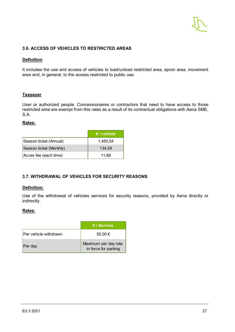

#### <span id="page-28-0"></span>**3.6. ACCESS OF VEHICLES TO RESTRICTED AREAS**

#### **Definition**

It includes the use and access of vehicles to load/unload restricted area, apron area, movement area and, in general, to the access restricted to public use.

#### **Taxpayer**

User or authorized people. Concessionaires or contractors that need to have access to those restricted area are exempt from this rates as a result of its contractual obligations with Aena SME, S.A.

#### **Rates:**

|                         | $\epsilon$ / vehicle |
|-------------------------|----------------------|
| Season ticket (Annual)  | 1.450,54             |
| Season ticket (Monthly) | 134.29               |
| Acces fee (each time)   | 11,68                |

#### <span id="page-28-1"></span>**3.7. WITHDRAWAL OF VEHICLES FOR SECURITY REASONS**

#### **Definition**:

Use of the withdrawal of vehicles services for security reasons, provided by Aena directly or indirectly.

#### **Rates**:

|                              | $\epsilon$ / Service                         |
|------------------------------|----------------------------------------------|
| <b>Per vehicle withdrawn</b> | 50,00 €                                      |
| Per day                      | Maximum per day rate<br>in force for parking |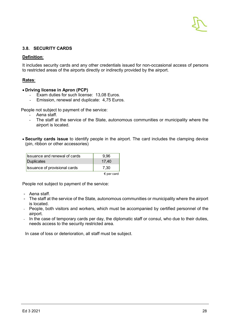#### <span id="page-29-0"></span>**3.8. SECURITY CARDS**

#### **Definition**:

It includes security cards and any other credentials issued for non-occasional access of persons to restricted areas of the airports directly or indirectly provided by the airport.

#### **Rates**:

#### • **Driving license in Apron (PCP)**

- Exam duties for such license: 13,08 Euros.
- Emission, renewal and duplicate: 4,75 Euros.

People not subject to payment of the service:

- Aena staff.
- The staff at the service of the State, autonomous communities or municipality where the airport is located.
- **Security cards issue** to identify people in the airport. The card includes the clamping device (pin, ribbon or other accessories)

| <b>Issuance and renewal of cards</b> | 9.96                |
|--------------------------------------|---------------------|
| Duplicates                           | 17,40               |
| <b>Issuance of provisional cards</b> | 7.30                |
|                                      | $\epsilon$ per card |

People not subject to payment of the service:

- The staff at the service of the State, autonomous communities or municipality where the airport is located.
- People, both visitors and workers, which must be accompanied by certified personnel of the airport.
- In the case of temporary cards per day, the diplomatic staff or consul, who due to their duties, needs access to the security restricted area.

In case of loss or deterioration, all staff must be subject.

<sup>-</sup> Aena staff.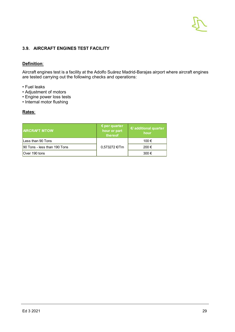#### <span id="page-30-0"></span>**3.9. AIRCRAFT ENGINES TEST FACILITY**

#### **Definition**:

Aircraft engines test is a facility at the Adolfo Suárez Madrid-Barajas airport where aircraft engines are tested carrying out the following checks and operations:

- Fuel leaks
- Adjustment of motors
- Engine power loss tests
- Internal motor flushing

#### **Rates**:

| <b>ARCRAFT MTOW</b>          | $\epsilon$ per quarter<br>hour or part<br>thereof | <i><u><b>€/</b></u></i> additional quarter<br>hour |
|------------------------------|---------------------------------------------------|----------------------------------------------------|
| Less than 90 Tons            |                                                   | 100€                                               |
| 90 Tons - less than 190 Tons | 0,573272 €/Tm                                     | 200€                                               |
| Over 190 tons                |                                                   | 300€                                               |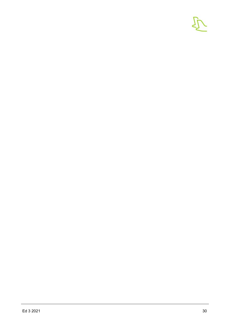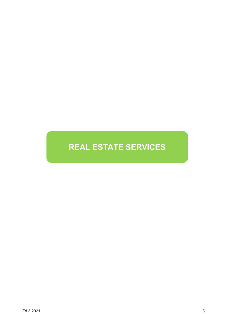## **REAL ESTATE SERVICES**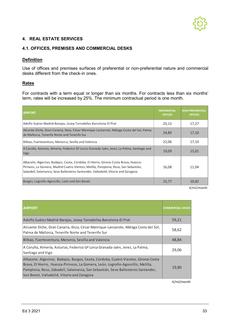

#### <span id="page-34-0"></span>**4. REAL ESTATE SERVICES**

#### <span id="page-34-1"></span>**4.1. OFFICES, PREMISES AND COMMERCIAL DESKS**

#### **Definition**

Use of offices and premises surfaces of preferential or non-preferential nature and commercial desks different from the check-in ones.

#### **Rates**

For contracts with a term equal or longer than six months. For contracts less than six months' term, rates will be increased by 25%. The minimum contractual period is one month.

| <b>AIRPORT</b>                                                                                                                                                                                                                                                   | <b>PREFERENTIAL</b><br><b>OFFICES</b> | <b>NON-PREFERENTIAL</b><br><b>OFFICES</b> |
|------------------------------------------------------------------------------------------------------------------------------------------------------------------------------------------------------------------------------------------------------------------|---------------------------------------|-------------------------------------------|
| Adolfo Suárez Madrid-Barajas, Josep Tarradellas Barcelona-El Prat                                                                                                                                                                                                | 25,13                                 | 17,27                                     |
| Alicante-Elche, Gran Canaria, Ibiza, César Manrique-Lanzarote, Málaga Costa del Sol, Palma<br>de Mallorca, Tenerife Norte and Tenerife Sur                                                                                                                       | 24,89                                 | 17,10                                     |
| Bilbao, Fuerteventura, Menorca, Sevilla and Valencia                                                                                                                                                                                                             | 22,06                                 | 17,10                                     |
| A Coruña, Asturias, Almeria, Federico G <sup>a</sup> Lorca Granada-Jaén, Jerez, La Palma, Santiago and<br>Vigo                                                                                                                                                   | 19,09                                 | 15,01                                     |
| Albacete, Algeciras, Badajoz, Ceuta, Córdoba, El Hierro, Girona-Costa Brava, Huesca-<br>Pirineos, La Gomera, Madrid Cuatro Vientos, Melilla, Pamplona, Reus, San Sebastián,<br>Sabadell, Salamanca, Seve Ballesteros Santander, Valladolid, Vitoria and Zaragoza | 16,08                                 | 11,04                                     |
| Burgos, Logroño-Agoncillo, León and Son Bonet                                                                                                                                                                                                                    | 15,77                                 | 10,82                                     |

€/m2/month

| <b>AIRPORT</b>                                                                                                                                                                                                                                                                                          | <b>COMMERCIAL DESKS</b> |
|---------------------------------------------------------------------------------------------------------------------------------------------------------------------------------------------------------------------------------------------------------------------------------------------------------|-------------------------|
| Adolfo Suárez Madrid-Barajas, Josep Tarradellas Barcelona-El Prat                                                                                                                                                                                                                                       | 59,21                   |
| Alicante-Elche, Gran Canaria, Ibiza, César Manrique-Lanzarote, Málaga Costa del Sol,<br>Palma de Mallorca, Tenerife Norte and Tenerife Sur                                                                                                                                                              | 58,62                   |
| Bilbao, Fuerteventura, Menorca, Sevilla and Valencia                                                                                                                                                                                                                                                    | 48,84                   |
| A Coruña, Almería, Asturias, Federico G <sup>a</sup> Lorca Granada-Jaén, Jerez, La Palma,<br>Santiago and Vigo                                                                                                                                                                                          | 29,06                   |
| Albacete, Algeciras, Badajoz, Burgos, Ceuta, Cordoba, Cuatro Vientos, Girona-Costa<br>Brava, El Hierro, Huesca-Pirineos, La Gomera, León, Logroño-Agoncillo, Melilla,<br>Pamplona, Reus, Sabadell, Salamanca, San Sebastián, Seve Ballesteros Santander,<br>Son Bonet, Valladolid, Vitoria and Zaragoza | 19,80                   |

€/m2/month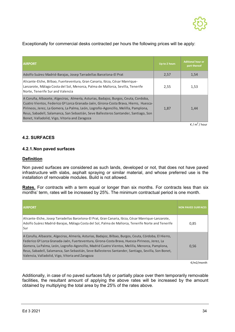

#### Exceptionally for commercial desks contracted per hours the following prices will be apply:

| <b>AIRPORT</b>                                                                                                                                                                                                                                                                                                                                                                                                     | Up to 2 hours | <b>Aditional hour or</b><br>part thereof |
|--------------------------------------------------------------------------------------------------------------------------------------------------------------------------------------------------------------------------------------------------------------------------------------------------------------------------------------------------------------------------------------------------------------------|---------------|------------------------------------------|
| Adolfo Suárez Madrid-Barajas, Josep Tarradellas Barcelona-El Prat                                                                                                                                                                                                                                                                                                                                                  | 2,57          | 1,54                                     |
| Alicante-Elche, Bilbao, Fuerteventura, Gran Canaria, Ibiza, César Manrique-<br>Lanzarote, Málaga Costa del Sol, Menorca, Palma de Mallorca, Sevilla, Tenerife<br>Norte, Tenerife Sur and Valencia                                                                                                                                                                                                                  | 2,55          | 1,53                                     |
| A Coruña, Albacete, Algeciras, Almería, Asturias, Badajoz, Burgos, Ceuta, Cordoba,<br>Cuatro Vientos, Federico G <sup>a</sup> Lorca Granada-Jaén, Girona-Costa Brava, Hierro, Huesca-<br>Pirineos, Jerez, La Gomera, La Palma, León, Logroño-Agoncillo, Melilla, Pamplona,<br>Reus, Sabadell, Salamanca, San Sebastián, Seve Ballesteros Santander, Santiago, Son<br>Bonet, Valladolid, Vigo, Vitoria and Zaragoza | 1.87          | 1,44                                     |

 $\frac{1}{2}$  / m<sup>2</sup> / hour

#### <span id="page-35-0"></span>**4.2. SURFACES**

#### **4.2.1.Non paved surfaces**

#### **Definition**

Non paved surfaces are considered as such lands, developed or not, that does not have paved infrastructure with slabs, asphalt spraying or similar material, and whose preferred use is the installation of removable modules. Build is not allowed.

**Rates.** For contracts with a term equal or longer than six months. For contracts less than six months' term, rates will be increased by 25%. The minimum contractual period is one month.

| <b>AIRPORT</b>                                                                                                                                                                                                                                                                                                                                                                                                                                                                 | <b>NON PAVED SURFACES</b> |
|--------------------------------------------------------------------------------------------------------------------------------------------------------------------------------------------------------------------------------------------------------------------------------------------------------------------------------------------------------------------------------------------------------------------------------------------------------------------------------|---------------------------|
| Alicante-Elche, Josep Tarradellas Barcelona-El Prat, Gran Canaria, Ibiza, César Manrique-Lanzarote,<br>Adolfo Suárez Madrid-Barajas, Málaga Costa del Sol, Palma de Mallorca, Tenerife Norte and Tenerife<br><b>Sur</b>                                                                                                                                                                                                                                                        | 0.85                      |
| A Coruña, Albacete, Algeciras, Almería, Asturias, Badajoz, Bilbao, Burgos, Ceuta, Córdoba, El Hierro,<br>Federico G <sup>a</sup> Lorca Granada-Jaén, Fuerteventura, Girona-Costa Brava, Huesca-Pirineos, Jerez, La<br>Gomera, La Palma, León, Logroño-Agoncillo, Madrid Cuatro Vientos, Melilla, Menorca, Pamplona,<br>Reus, Sabadell, Salamanca, San Sebastián, Seve Ballesteros Santander, Santiago, Sevilla, Son Bonet,<br>Valencia, Valladolid, Vigo, Vitoria and Zaragoza | 0.56                      |

€/m2/month

Additionally, in case of no paved surfaces fully or partially place over them temporarily removable facilities, the resultant amount of applying the above rates will be increased by the amount obtained by multiplying the total area by the 25% of the rates above.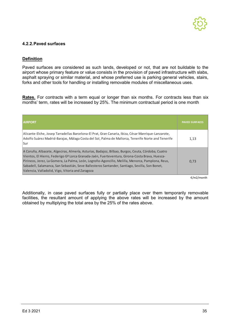#### **4.2.2.Paved surfaces**

#### **Definition**

Paved surfaces are considered as such lands, developed or not, that are not buildable to the airport whose primary feature or value consists in the provision of paved infrastructure with slabs, asphalt spraying or similar material, and whose preferred use is parking general vehicles, stairs, forks and other tools for handling or installing removable modules of miscellaneous uses.

Rates. For contracts with a term equal or longer than six months. For contracts less than six months' term, rates will be increased by 25%. The minimum contractual period is one month

| <b>AIRPORT</b>                                                                                                                                                                                                                                                                                                                                                                                                                                                           | <b>PAVED SURFACES</b> |
|--------------------------------------------------------------------------------------------------------------------------------------------------------------------------------------------------------------------------------------------------------------------------------------------------------------------------------------------------------------------------------------------------------------------------------------------------------------------------|-----------------------|
| Alicante-Elche, Josep Tarradellas Barcelona-El Prat, Gran Canaria, Ibiza, César Manrique-Lanzarote,<br>Adolfo Suárez Madrid-Barajas, Málaga Costa del Sol, Palma de Mallorca, Tenerife Norte and Tenerife<br><b>Sur</b>                                                                                                                                                                                                                                                  | 1,13                  |
| A Coruña, Albacete, Algeciras, Almería, Asturias, Badajoz, Bilbao, Burgos, Ceuta, Córdoba, Cuatro<br>Vientos, El Hierro, Federigo G <sup>a</sup> Lorca Granada-Jaén, Fuerteventura, Girona-Costa Brava, Huesca-<br>Pirineos, Jerez, La Gomera, La Palma, León, Logroño-Agoncillo, Melilla, Menorca, Pamplona, Reus,<br>Sabadell, Salamanca, San Sebastián, Seve Ballesteros Santander, Santiago, Sevilla, Son Bonet,<br>Valencia, Valladolid, Vigo, Vitoria and Zaragoza | 0.73                  |

€/m2/month

Additionally, in case paved surfaces fully or partially place over them temporarily removable facilities, the resultant amount of applying the above rates will be increased by the amount obtained by multiplying the total area by the 25% of the rates above.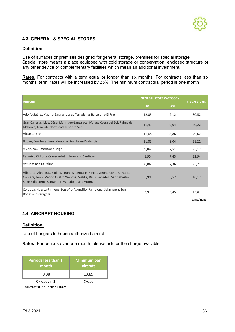#### **4.3. GENERAL & SPECIAL STORES**

#### **Definition**

Use of surfaces or premises designed for general storage, premises for special storage. Special store means a place equipped with cold storage or conservation, enclosed structure or any other device or complementary facilities which mean an additional investment.

**Rates.** For contracts with a term equal or longer than six months. For contracts less than six months' term, rates will be increased by 25%. The minimum contractual period is one month

| <b>AIRPORT</b>                                                                                                                                                                                                       |       | <b>GENERAL STORE CATEGORY</b> |                       |  |  |
|----------------------------------------------------------------------------------------------------------------------------------------------------------------------------------------------------------------------|-------|-------------------------------|-----------------------|--|--|
|                                                                                                                                                                                                                      | 1st   | 2nd                           | <b>SPECIAL STORES</b> |  |  |
| Adolfo Suárez Madrid-Barajas, Josep Tarradellas Barcelona-El Prat                                                                                                                                                    | 12,03 | 9,12                          | 30,52                 |  |  |
| Gran Canaria, Ibiza, César Manrique-Lanzarote, Málaga Costa del Sol, Palma de<br>Mallorca, Tenerife Norte and Tenerife Sur                                                                                           | 11,91 | 9,04                          | 30,22                 |  |  |
| Alicante-Elche                                                                                                                                                                                                       | 11,68 | 8,86                          | 29,62                 |  |  |
| Bilbao, Fuerteventura, Menorca, Sevilla and Valencia                                                                                                                                                                 | 11,03 | 9,04                          | 28,22                 |  |  |
| A Coruña, Almeria and Vigo                                                                                                                                                                                           | 9,04  | 7,51                          | 23,17                 |  |  |
| Federico G <sup>a</sup> Lorca Granada-Jaén, Jerez and Santiago                                                                                                                                                       | 8,95  | 7,43                          | 22,94                 |  |  |
| Asturias and La Palma                                                                                                                                                                                                | 8,86  | 7,36                          | 22,71                 |  |  |
| Albacete, Algeciras, Badajoz, Burgos, Ceuta, El Hierro, Girona-Costa Brava, La<br>Gomera, León, Madrid Cuatro Vientos, Melilla, Reus, Sabadell, San Sebastián,<br>Seve Ballesteros Santander, Valladolid and Vitoria | 3,99  | 3,52                          | 16,12                 |  |  |
| Córdoba, Huesca-Pirineos, Logroño-Agoncillo, Pamplona, Salamanca, Son<br>Bonet and Zaragoza                                                                                                                          | 3,91  | 3,45                          | 15,81                 |  |  |

€/m2/month

#### **4.4. AIRCRAFT HOUSING**

#### **Definition**:

Use of hangars to house authorized aircraft.

**Rates:** For periods over one month, please ask for the charge available.

| <b>Periods less than 1</b><br>month | <b>Minimum per</b><br>aircraft |
|-------------------------------------|--------------------------------|
| 0,38                                | 13,89                          |
| €/day/m2                            | €/day                          |

aircraft silohuette surface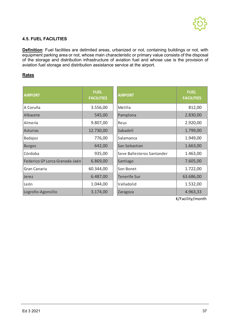

#### **4.5. FUEL FACILITIES**

**Definition**: Fuel facilities are delimited areas, urbanized or not, containing buildings or not, with equipment parking area or not, whose main characteristic or primary value consists of the disposal of the storage and distribution infrastructure of aviation fuel and whose use is the provision of aviation fuel storage and distribution assistance service at the airport.

#### **Rates**

| <b>AIRPORT</b>                             | <b>FUEL</b><br><b>FACILITIES</b> | <b>AIRPORT</b>             | <b>FUEL</b><br><b>FACILITIES</b> |
|--------------------------------------------|----------------------------------|----------------------------|----------------------------------|
| A Coruña                                   | 3.556,00                         | Melilla                    | 812,00                           |
| Albacete                                   | 545,00                           | Pamplona                   | 2.830,00                         |
| Almería                                    | 9.807,00                         | Reus                       | 2.920,00                         |
| <b>Asturias</b>                            | 12.730,00                        | Sabadell                   | 1.799,00                         |
| Badajoz                                    | 776,00                           | Salamanca                  | 1.949,00                         |
| <b>Burgos</b>                              | 642,00                           | San Sebastian              | 1.663,00                         |
| Córdoba                                    | 935,00                           | Seve Ballesteros Santander | 1.463,00                         |
| Federico G <sup>a</sup> Lorca Granada-Jaén | 6.869,00                         | Santiago                   | 7.605,00                         |
| Gran Canaria                               | 60.344,00                        | Son Bonet                  | 1.722,00                         |
| Jerez                                      | 6.487,00                         | Tenerife Sur               | 63.686,00                        |
| León                                       | 1.044,00                         | Valladolid                 | 1.532,00                         |
| Logroño-Agoncillo                          | 3.174,00                         | Zaragoza                   | 4.963,33                         |

€/Facility/month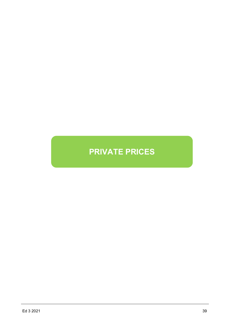# **PRIVATE PRICES**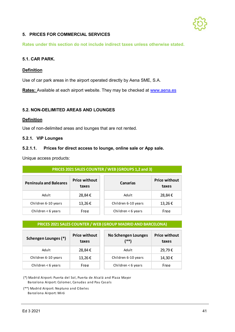

#### **5. PRICES FOR COMMERCIAL SERVICES**

**Rates under this section do not include indirect taxes unless otherwise stated.**

#### **5.1. CAR PARK.**

#### **Definition**

Use of car park areas in the airport operated directly by Aena SME, S.A.

**Rates:** Available at each airport website. They may be checked at [www.aena.es](http://www.aena.es/)

#### **5.2. NON-DELIMITED AREAS AND LOUNGES**

#### **Definition**

Use of non-delimited areas and lounges that are not rented.

#### **5.2.1. VIP Lounges**

#### **5.2.1.1. Prices for direct access to lounge, online sale or App sale.**

Unique access products:

| PRICES 2021 SALES COUNTER / WEB (GROUPS 1,2 and 3) |                               |  |                      |                               |  |  |  |
|----------------------------------------------------|-------------------------------|--|----------------------|-------------------------------|--|--|--|
| <b>Península and Baleares</b>                      | <b>Price without</b><br>taxes |  | <b>Canarias</b>      | <b>Price without</b><br>taxes |  |  |  |
| Adult                                              | 28,84€                        |  | Adult                | 28,84€                        |  |  |  |
| Children 6-10 years                                | 13,26€                        |  | Children 6-10 years  | 13,26€                        |  |  |  |
| Children $<$ 6 years                               | Free                          |  | Children $<$ 6 years | Free                          |  |  |  |

#### **PRICES 2021 SALES COUNTER / WEB (GROUP MADRID AND BARCELONA)**

| Schengen Lounges (*) | <b>Price without</b><br>taxes | No Schengen Lounges<br>(**) | <b>Price without</b><br>taxes |
|----------------------|-------------------------------|-----------------------------|-------------------------------|
| Adult                | 28,84€                        | Adult                       | 29,79€                        |
| Children 6-10 years  | 13,26€                        | Children 6-10 years         | 14,30€                        |
| Children $<$ 6 years | Free                          | Children $<$ 6 years        | Free                          |

(\*) Madrid Airport: Puerta del Sol, Puerta de Alcalá and Plaza Mayor Barcelona Airport: Colomer, Canudas and Pau Casals

(\*\*) Madrid Airport: Neptuno and Cibeles Barcelona Airport: Miró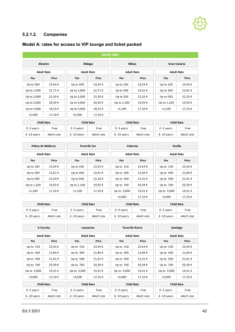# **5.2.1.2. Companies**

# **Model A: rates for access to VIP lounge and ticket packed**

| <b>RATES 2021</b>         |                                          |                   |                   |                       |                     |                   |                   |  |  |
|---------------------------|------------------------------------------|-------------------|-------------------|-----------------------|---------------------|-------------------|-------------------|--|--|
| <b>Alicante</b><br>Málaga |                                          | <b>Bilbao</b>     |                   |                       | <b>Gran Canaria</b> |                   |                   |  |  |
|                           | <b>Adult Rate</b>                        |                   | <b>Adult Rate</b> | <b>Adult Rate</b>     |                     |                   | <b>Adult Rate</b> |  |  |
| Pax                       | Price                                    | Pax               | Price             | Pax                   | Price               | Pax               | Price             |  |  |
| Up to 300                 | 23,54€                                   | Up to 300         | 23,54€            | Up to 100             | 23,54€              | Up to 100         | 23,54€            |  |  |
| Up to 1,000               | 22,71€                                   | Up to 1,000       | 22,71€            | Up to 300             | 22,61€              | Up to 300         | 22,61€            |  |  |
| Up to 2,000               | 22,30€                                   | Up to 2,000       | 22,30€            | Up to 500             | 22,20€              | Up to 500         | 22,20€            |  |  |
| Up to 3,000               | 20,39€                                   | Up to 3,000       | 20,39€            | Up to 1,100           | 19,93€              | Up to 1,100       | 19,93€            |  |  |
| Up to 5,000               | 18,23€                                   | Up to 5,000       | 18,23€            | >1,100                | 17,10€              | >1,100            | 17,10€            |  |  |
| >5.000                    | 17,10€                                   | >5.000            | 17,10€            |                       |                     |                   |                   |  |  |
|                           | <b>Child Rate</b>                        |                   | <b>Child Rate</b> | <b>Child Rate</b>     |                     |                   | <b>Child Rate</b> |  |  |
| $0 - 5$ years             | Free                                     | $0 - 5$ years     | Free              | $0 - 5$ years         | Free                | $0 - 5$ years     | Free              |  |  |
| 6 -10 years               | Adult rate                               | $6 - 10$ years    | Adult rate        | $6 - 10$ years        | Adult rate          | 6 -10 years       | Adult rate        |  |  |
|                           |                                          |                   |                   |                       |                     |                   |                   |  |  |
|                           | Palma de Mallorca<br><b>Tenerife Sur</b> |                   | Valencia          |                       |                     | <b>Sevilla</b>    |                   |  |  |
|                           | <b>Adult Rate</b>                        | <b>Adult Rate</b> |                   | <b>Adult Rate</b>     |                     | <b>Adult Rate</b> |                   |  |  |
| Pax                       | Price                                    | Pax               | Price             | Pax                   | Price               | Pax               | Price             |  |  |
| Up to 100                 | 23,54€                                   | Up to 100         | 23,54 €           | Up to $150$           | 23,54€              | Up to 150         | 23,54€            |  |  |
| Up to 300                 | 22,61€                                   | Up to 300         | 22,61€            | Up to $300$           | 21,84€              | Up to $300$       | 21,84€            |  |  |
| Up to 500                 | 22,20€                                   | Up to 500         | 22,20€            | Up to $500$           | 21,01€              | Up to 500         | 21,01€            |  |  |
| Up to 1,100               | 19,93€                                   | Up to 1,100       | 19,93€            | Up to 700             | 20,39€              | Up to 700         | 20,39€            |  |  |
| >1,100                    | 17,10€                                   | >1,100            | 17,10€            | Up to 3,000           | 19,31€              | Up to 3,000       | 19,31€            |  |  |
|                           |                                          |                   |                   | >3,000                | 17,10€              | >3,000            | 17,10€            |  |  |
|                           | <b>Child Rate</b>                        |                   | <b>Child Rate</b> | <b>Child Rate</b>     |                     | <b>Child Rate</b> |                   |  |  |
| $0 - 5$ years             | Free                                     | $0 - 5$ years     | Free              | 0-5 years             | Free                | $0 - 5$ years     | Free              |  |  |
| 6 -10 years               | Adult rate                               | $6 - 10$ years    | Adult rate        | $6 - 10$ years        | Adult rate          | $6 - 10$ years    | Adult rate        |  |  |
|                           |                                          |                   |                   |                       |                     |                   |                   |  |  |
|                           | A Coruña                                 | Lanzarote         |                   | <b>Tenerife Norte</b> |                     | Santiago          |                   |  |  |
|                           | <b>Adult Rate</b>                        |                   | <b>Adult Rate</b> | <b>Adult Rate</b>     |                     |                   | <b>Adult Rate</b> |  |  |
| Pax                       | Price                                    | Pax               | Price             | Pax                   | Price               | Pax               | Price             |  |  |
| Up to $150$               | 23,54€                                   | Up to $150$       | 23,54€            | Up to $150$           | 23,54€              | Up to 150         | 23,54€            |  |  |
| Up to 300                 | 21,84 €                                  | Up to $300$       | 21,84€            | Up to $300$           | 21,84 €             | Up to $300$       | 21,84 €           |  |  |
| Up to 500                 | 21,01€                                   | Up to $500$       | 21,01€            | Up to $500$           | 21,01€              | Up to 500         | 21,01€            |  |  |
| Up to 700                 | 20,39€                                   | Up to 700         | 20,39 €           | Up to 700             | 20,39€              | Up to 700         | 20,39 €           |  |  |
| Up to 3,000               | 19,31 €                                  | Up to 3,000       | 19,31€            | Up to 3,000           | 19,31€              | Up to 3,000       | 19,31 €           |  |  |
| >3,000                    | 17,10 €                                  | >3,000            | 17,10 €           | >3,000                | 17,10€              | >3,000            | 17,10 €           |  |  |
|                           | <b>Child Rate</b>                        |                   | <b>Child Rate</b> | <b>Child Rate</b>     |                     | <b>Child Rate</b> |                   |  |  |
| $0 - 5$ years             | Free                                     | $0 - 5$ years     | Free              | $0 - 5$ years         | Free                | $0 - 5$ years     | Free              |  |  |
| $6 - 10$ years            | Adult rate                               | $6 - 10$ years    | Adult rate        | $6 - 10$ years        | Adult rate          | $6 - 10$ years    | Adult rate        |  |  |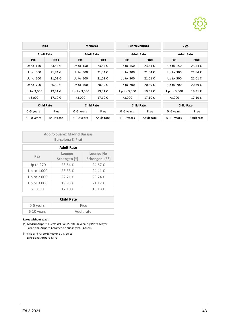

|                | <b>Ibiza</b>      | Menorca           |                   | <b>Fuerteventura</b> |                   | Vigo           |                   |
|----------------|-------------------|-------------------|-------------------|----------------------|-------------------|----------------|-------------------|
|                | <b>Adult Rate</b> |                   | <b>Adult Rate</b> |                      | <b>Adult Rate</b> |                | <b>Adult Rate</b> |
| Pax            | Price             | Pax               | Price             | Pax                  | Price             | Pax            | Price             |
| Up to $150$    | 23,54€            | Up to $150$       | 23,54€            | Up to $150$          | 23,54€            | Up to $150$    | 23,54€            |
| Up to $300$    | 21,84€            | Up to $300$       | 21,84€            | Up to $300$          | 21,84€            | Up to $300$    | 21,84€            |
| Up to $500$    | 21,01€            | Up to $500$       | 21,01€            | Up to 500            | 21,01€            | Up to $500$    | 21,01€            |
| Up to 700      | 20,39€            | Up to 700         | 20,39€            | Up to 700            | 20,39€            | Up to 700      | 20,39€            |
| Up to 3,000    | 19,31€            | Up to 3,000       | 19,31€            | Up to 3,000          | 19,31€            | Up to 3,000    | 19,31€            |
| >3,000         | 17,10€            | >3,000            | 17,10€            | >3,000               | 17,10€            | >3,000         | 17,10€            |
|                | <b>Child Rate</b> | <b>Child Rate</b> |                   | <b>Child Rate</b>    |                   |                | <b>Child Rate</b> |
| $0 - 5$ years  | Free              | $0 - 5$ years     | Free              | $0 - 5$ years        | Free              | $0 - 5$ years  | Free              |
| $6 - 10$ years | Adult rate        | $6 - 10$ years    | Adult rate        | $6 - 10$ years       | Adult rate        | $6 - 10$ years | Adult rate        |

| <b>Adolfo Suárez Madrid Barajas</b><br><b>Barcelona El Prat</b> |        |        |  |  |  |  |
|-----------------------------------------------------------------|--------|--------|--|--|--|--|
| <b>Adult Rate</b>                                               |        |        |  |  |  |  |
| Lounge<br>Lounge No<br>Pax<br>Schengen (*)<br>Schengen (**)     |        |        |  |  |  |  |
| Up to 270                                                       | 23,54€ | 24,67€ |  |  |  |  |
| Up to 1.000                                                     | 23,33€ | 24,41€ |  |  |  |  |
| Up to 2.000                                                     | 22,71€ | 23,74€ |  |  |  |  |
| Up to 3.000                                                     | 19,93€ | 21,12€ |  |  |  |  |
| > 3.000                                                         | 17,10€ | 18,18€ |  |  |  |  |

| <b>Child Rate</b> |            |  |  |  |
|-------------------|------------|--|--|--|
| 0-5 years<br>Free |            |  |  |  |
| 6-10 years        | Adult rate |  |  |  |

#### **Rates without taxes**

(\*) Madrid Airport: Puerta del Sol, Puerta de Alcalá y Plaza Mayor Barcelona Airport: Colomer, Canudas y Pau Casals

(\*\*) Madrid Airport: Neptuno y Cibeles Barcelona Airport: Miró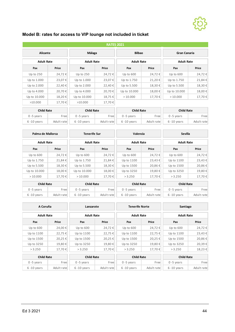

# **Model B: rates for access to VIP lounge not included in ticket**

|                   | <b>RATES 2021</b> |                   |        |                                                                                |         |                   |        |  |  |
|-------------------|-------------------|-------------------|--------|--------------------------------------------------------------------------------|---------|-------------------|--------|--|--|
| Alicante          |                   | Málaga            |        | <b>Bilbao</b><br><b>Gran Canaria</b><br><b>Adult Rate</b><br><b>Adult Rate</b> |         |                   |        |  |  |
| <b>Adult Rate</b> |                   | <b>Adult Rate</b> |        |                                                                                |         |                   |        |  |  |
| Pax               | Price             | Pax               | Price  | Pax                                                                            | Price   | Pax               | Price  |  |  |
| Up to $250$       | 24,72€            | Up to 250         | 24,72€ | Up to $600$                                                                    | 24,72€  | Up to $600$       | 24,72€ |  |  |
| Up to 1.000       | 23,07€            | Up to 1.000       | 23,07€ | Up to 1.750                                                                    | 21,20€  | Up to 1.750       | 21,84€ |  |  |
| Up to 2.000       | 22,40 €           | Up to 2.000       | 22,40€ | Up to 5.500                                                                    | 18,30€  | Up to 5.500       | 18,30€ |  |  |
| Up to 4.000       | 20,70€            | Up to 4.000       | 20,70€ | Up to 10.000                                                                   | 18,00 € | Up to 10.000      | 18,00€ |  |  |
| Up to 10.000      | 18,20€            | Up to 10.000      | 18,75€ | >10.000                                                                        | 17,70€  | >10.000           | 17,70€ |  |  |
| >10.000           | 17,70€            | >10.000           | 17,70€ |                                                                                |         |                   |        |  |  |
| <b>Child Rate</b> |                   | <b>Child Rate</b> |        | <b>Child Rate</b>                                                              |         | <b>Child Rate</b> |        |  |  |

| <b>Child Rate</b><br>Child Rate |            |                | <b>Child Rate</b> |                | <b>Child Rate</b> |                |            |
|---------------------------------|------------|----------------|-------------------|----------------|-------------------|----------------|------------|
| 0 -5 vears                      | $r$ reel   | $0 - 5$ vears  | Free              | 0 -5 vears     | Free              | 0 -5 vears     | Free       |
| $6 - 10$ vears                  | Adult rate | $6 - 10$ vears | Adult rate        | $6 - 10$ vears | Adult rate        | $6 - 10$ vears | Adult rate |

| Palma de Mallorca |                   | <b>Tenerife Sur</b> |                   | Valencia          |            | Sevilla           |            |
|-------------------|-------------------|---------------------|-------------------|-------------------|------------|-------------------|------------|
| <b>Adult Rate</b> |                   | <b>Adult Rate</b>   |                   | <b>Adult Rate</b> |            | <b>Adult Rate</b> |            |
| Pax               | Price             | Pax                 | Price             | Pax               | Price      | Pax               | Price      |
| Up to $600$       | 24,72€            | Up to $600$         | 24,72€            | Up to $600$       | 24,72€     | Up to $600$       | 24,72€     |
| Up to 1.750       | 21,84€            | Up to 1.750         | 21,84€            | Up to 1100        | 23,43€     | Up to 1100        | 23,43€     |
| Up to 5.500       | 18,30€            | Up to 5.500         | 18,30€            | Up to 1500        | 20,86€     | Up to 1500        | 20,86€     |
| Up to 10.000      | 18,00€            | Up to 10.000        | 18,00€            | Up to 3250        | 19,80€     | Up to 3250        | 19,80€     |
| >10.000           | 17,70€            | >10.000             | 17,70€            | > 3.250           | 17,70 €    | > 3.250           | 17,70€     |
|                   | <b>Child Rate</b> |                     | <b>Child Rate</b> | <b>Child Rate</b> |            | <b>Child Rate</b> |            |
| $0 - 5$ years     | Free              | $0 - 5$ years       | Free              | $0 - 5$ years     | Free       | $0 - 5$ years     | Free       |
| $6 - 10$ years    | Adult rate        | $6 - 10$ years      | Adult rate        | $6 - 10$ years    | Adult rate | $6 - 10$ years    | Adult rate |

| A Coruña          |                                        | Lanzarote         |                   | <b>Tenerife Norte</b> |                   | Santiago          |            |
|-------------------|----------------------------------------|-------------------|-------------------|-----------------------|-------------------|-------------------|------------|
| <b>Adult Rate</b> |                                        | <b>Adult Rate</b> |                   | <b>Adult Rate</b>     |                   | <b>Adult Rate</b> |            |
| Pax               | Price                                  | Pax               | Price             | Pax                   | Price             | Pax               |            |
| Up to $600$       | 24,00 €                                | Up to 600         | 24,72€            | Up to 600             | 24,72€            | Up to 600         | 24,72€     |
| Up to 1100        | 22,75 €                                | Up to 1100        | 22,75€            | Up to 1100            | 22,75 €           | Up to 1100        | 23,43€     |
| Up to 1500        | 20,25 €                                | Up to 1500        | 20,25€            | Up to 1500            | 20,25€            | Up to 1500        | 20,86€     |
| Up to 3250        | 19,80€                                 | Up to 3250        | 19,80€            | Up to 3250            | 19,80€            | Up to 3250        | 20,39€     |
| > 3.250           | 17,70€                                 | > 3.250           | 17,70€            | > 3.250               | 17,70€            | > 3.250           | 18,23€     |
|                   | <b>Child Rate</b><br><b>Child Rate</b> |                   | <b>Child Rate</b> |                       | <b>Child Rate</b> |                   |            |
| $0 - 5$ years     | Free                                   | $0 - 5$ years     | Free              | $0 - 5$ years         | Free              | $0 - 5$ years     | Free       |
| $6 - 10$ years    | Adult rate                             | $6 - 10$ years    | Adult rate        | $6 - 10$ years        | Adult rate        | $6 - 10$ years    | Adult rate |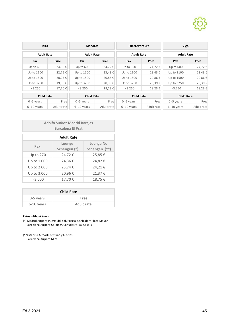

| Ibiza             |            | Menorca           |            | <b>Fuerteventura</b> |            | Vigo              |            |
|-------------------|------------|-------------------|------------|----------------------|------------|-------------------|------------|
| <b>Adult Rate</b> |            | <b>Adult Rate</b> |            | <b>Adult Rate</b>    |            | <b>Adult Rate</b> |            |
| Pax               | Price      | Pax               | Price      | Pax                  | Price      |                   | Price      |
| Up to $600$       | 24,00 €    | Up to $600$       | 24,72€     | Up to 600            | 24,72€     | Up to $600$       | 24,72€     |
| Up to 1100        | 22,75 €    | Up to 1100        | 23,43€     | Up to 1100           | 23,43 €    | Up to 1100        | 23,43€     |
| Up to 1500        | 20,25€     | Up to 1500        | 20,86€     | Up to 1500           | 20,86€     | Up to 1500        | 20,86€     |
| Up to 3250        | 19,80€     | Up to 3250        | 20,39€     | Up to 3250           | 20,39€     | Up to 3250        | 20,39€     |
| > 3.250           | 17,70€     | > 3.250           | 18,23€     | > 3.250              | 18,23€     | > 3.250           | 18,23€     |
| <b>Child Rate</b> |            | <b>Child Rate</b> |            | <b>Child Rate</b>    |            | <b>Child Rate</b> |            |
| $0 - 5$ years     | Free       | $0 - 5$ years     | Free       | $0 - 5$ years        | Free       | $0 - 5$ years     | Free       |
| $6 - 10$ years    | Adult rate | $6 - 10$ years    | Adult rate | $6 - 10$ years       | Adult rate | $6 - 10$ years    | Adult rate |

| <b>Adolfo Suárez Madrid Barajas</b><br><b>Barcelona El Prat</b> |              |                  |  |  |  |  |  |  |
|-----------------------------------------------------------------|--------------|------------------|--|--|--|--|--|--|
| <b>Adult Rate</b>                                               |              |                  |  |  |  |  |  |  |
| Pax                                                             | Lounge       | <b>Lounge No</b> |  |  |  |  |  |  |
|                                                                 | Schengen (*) | Schengen (**)    |  |  |  |  |  |  |
| Up to 270                                                       | 24,72€       | 25,85€           |  |  |  |  |  |  |
| Up to 1.000                                                     | 24,36€       | 24,82€           |  |  |  |  |  |  |
| Up to 2.000                                                     | 23,74€       | 24,21€           |  |  |  |  |  |  |
| Up to 3.000                                                     | 20,96€       | 21,37€           |  |  |  |  |  |  |
| > 3.000                                                         | 17,70€       | 18,75€           |  |  |  |  |  |  |

|            | <b>Child Rate</b> |
|------------|-------------------|
| 0-5 years  | Free              |
| 6-10 years | Adult rate        |

#### **Rates without taxes**

(\*) Madrid Airport: Puerta del Sol, Puerta de Alcalá y Plaza Mayor Barcelona Airport: Colomer, Canudas y Pau Casals

(\*\*) Madrid Airport: Neptuno y Cibeles Barcelona Airport: Miró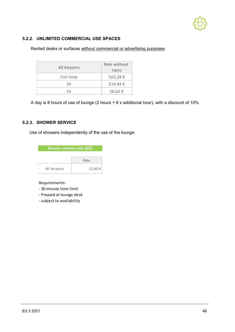

#### **5.2.2. UNLIMITED COMMERCIAL USE SPACES**

Rented desks or surfaces without commercial or advertising purposes.

| <b>All Airports</b> | Rate without<br>taxes |
|---------------------|-----------------------|
| Full-time           | 503,28 €              |
| 2h                  | 219,49€               |
| 1 h                 | 56,62€                |

A day is 8 hours of use of lounge (2 hours + 6 x additional hour), with a discount of 10%

#### **5.2.3. SHOWER SERVICE**

Use of showers independently of the use of the lounge.

| <b>Shower service rate 2021</b> |        |
|---------------------------------|--------|
|                                 | Rate   |
| All Airports                    | 12,40€ |

#### Requirements:

- 30 minute time limit
- Prepaid at lounge desk
- subject to availability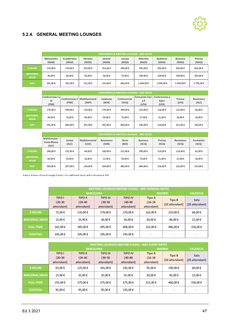

### **5.2.4. GENERAL MEETING LOUNGES**

|                                 |                            | <b>CONFERENCE &amp; MEETING LOUNGES - 2021 RATES</b> |                         |                 |                 |                   |                           |                          |                 |  |  |  |
|---------------------------------|----------------------------|------------------------------------------------------|-------------------------|-----------------|-----------------|-------------------|---------------------------|--------------------------|-----------------|--|--|--|
|                                 | <b>Manzanares</b><br>(MAD) | Guadarrama<br>(MAD)                                  | <b>Henares</b><br>(MAD) | Jarama<br>(MAD) | Lozoya<br>(MAD) | Alberche<br>(MAD) | <b>Auditorio</b><br>(MAD) | <b>Business</b><br>(MAD) | Prensa<br>(MAD) |  |  |  |
| 2 HOURS                         | 170.00€                    | 170.00€                                              | 253.00€                 | 253.00€         | 299.00€         | 505.00€           | 505,00€                   | 505.00€                  | 824,00€         |  |  |  |
| <b>ADITIONAL</b><br><b>HOUR</b> | 44,00€                     | 44,00€                                               | 56,00€                  | 56,00€          | 73.00€          | 109,00€           | 109,00€                   | 109,00€                  | 195,00€         |  |  |  |
| <b>DAY</b>                      | 391,00€                    | 391,00€                                              | 531,00€                 | 531,00€         | 664,00€         | 1.044,00€         | 1.044,00€                 | 1.044,00€                | 1.795,00€       |  |  |  |

|                                 |                                  | <b>CONFERENCE &amp; MEETING LOUNGES - 2021 RATES</b> |                         |                    |                       |               |                                                   |                 |                           |  |  |
|---------------------------------|----------------------------------|------------------------------------------------------|-------------------------|--------------------|-----------------------|---------------|---------------------------------------------------|-----------------|---------------------------|--|--|
|                                 | Conferencias I y<br>III<br>(PMI) | Conferencias II<br>(PMI)                             | Multifuncional<br>(AGP) | Catalunya<br>(BCN) | Conferencias<br>(SVQ) | y II<br>(LPA) | Formación Vip I Conferencias y<br>Sala I<br>(LPA) | Prensa<br>(LPA) | <b>Reuniones</b><br>(ALC) |  |  |
| 2 HOURS                         | 170,00€                          | 299.00€                                              | 170,00€                 | 170.00€            | 299.00€               | 253,00€       | 116,00€                                           | 122,00€         | 64,00€                    |  |  |
| <b>ADITIONAL</b><br><b>HOUR</b> | 44,00€                           | 73,00€                                               | 44,00€                  | 44,00 €            | 73,00€                | 57,00€        | 21,00€                                            | 26,00€          | 16,00€                    |  |  |
| <b>DAY</b>                      | 391,00€                          | 664,00€                                              | 391,00€                 | 391,00€            | 664,00€               | 536,00€       | 218,00€                                           | 251,00€         | 144,00€                   |  |  |

|                                 |                                         | <b>CONFERENCE &amp; MEETING LOUNGES - 2021 RATES</b> |                         |                           |                |                          |                 |                    |                    |  |  |
|---------------------------------|-----------------------------------------|------------------------------------------------------|-------------------------|---------------------------|----------------|--------------------------|-----------------|--------------------|--------------------|--|--|
|                                 | Multifunción -<br>Costa Blanca<br>(ALC) | Juntas<br>(ALC)                                      | Multifuncional<br>(LCG) | <b>Reuniones</b><br>(GRX) | Derio<br>(BIO) | <b>Business</b><br>(SCQ) | Prensa<br>(SCQ) | Reuniones<br>(SCQ) | Formación<br>(SCQ) |  |  |
| 2 HOURS                         | 248,00€                                 | 132,00€                                              | 64,00€                  | 100,00€                   | 212.00€        | 299,00€                  | 114,00€         | 114,00€            | 62,00€             |  |  |
| <b>ADITIONAL</b><br><b>HOUR</b> | 64,00€                                  | 33,00€                                               | 16,00€                  | 21,00€                    | 54,00€         | 73,00€                   | 21,00€          | 21.00€             | 16,00€             |  |  |
| <b>DAY</b>                      | 569,00€                                 | 297,00€                                              | 144,00€                 | 204,00€                   | 483,00€        | 664,00€                  | 216,00€         | 216,00€            | 143,00€            |  |  |

A day is 8 hours of use of lounge (2 hours + 6 x additional hour), with a discount of 10%

|                       |                                          | <b>MEETING LOUNGES (BEFORE CLASA) - 2021 GENERAL RATES</b> |                                            |                                           |                                          |                                 |                          |  |  |  |  |
|-----------------------|------------------------------------------|------------------------------------------------------------|--------------------------------------------|-------------------------------------------|------------------------------------------|---------------------------------|--------------------------|--|--|--|--|
|                       |                                          | <b>BARCELONA</b>                                           |                                            |                                           | <b>MADRID</b>                            | <b>VALENCIA</b>                 |                          |  |  |  |  |
|                       | <b>TIPO I</b><br>$(20-30)$<br>attendant) | TIPO II<br>$(24-40)$<br>attendant)                         | <b>TIPO III</b><br>$(30-50)$<br>attendant) | <b>TIPO IV</b><br>$(40-80)$<br>attendant) | <b>Tipo A</b><br>$(16-18)$<br>attendant) | <b>Tipo B</b><br>(52 attendant) | Sala<br>$(25$ attendant) |  |  |  |  |
| <b>2 HOURS</b>        | 72.00€                                   | 135.00€                                                    | 179,00€                                    | 270.00€                                   | 102.00€                                  | 210.00€                         | 66,00€                   |  |  |  |  |
| <b>ADICIONAL HOUR</b> | 15,00€                                   | 25,00€                                                     | 36.00€                                     | 56.00€                                    | 20,00€                                   | 46.00€                          | 15,00€                   |  |  |  |  |
| <b>FULL-TIME</b>      | 162.00€                                  | 285.00€                                                    | 395.00€                                    | 606.00€                                   | 222.00€                                  | 486.00€                         | 156.00€                  |  |  |  |  |
| <b>COCKTAIL</b>       | 105.00€                                  | 105.00€                                                    | 105.00€                                    | 145.00€                                   | $\overline{\phantom{a}}$                 |                                 |                          |  |  |  |  |

|                       |                                          |                                           |                                            | <b>MEETING LOUNGES (BEFORE CLASA) - 2021 CLIENT RATES</b> |                                          |                          |                        |
|-----------------------|------------------------------------------|-------------------------------------------|--------------------------------------------|-----------------------------------------------------------|------------------------------------------|--------------------------|------------------------|
|                       |                                          | <b>BARCELONA</b>                          |                                            |                                                           | <b>MADRID</b>                            | <b>VALENCIA</b>          |                        |
|                       | <b>TIPO I</b><br>$(20-30)$<br>attendant) | <b>TIPO II</b><br>$(24-40)$<br>attendant) | <b>TIPO III</b><br>$(30-50)$<br>attendant) | <b>TIPO IV</b><br>$(40-80)$<br>attendant)                 | <b>Tipo A</b><br>$(16-18)$<br>attendant) | Tipo B<br>(52 attendant) | Sala<br>(25 attendant) |
| 2 HOURS               | 65.00€                                   | 125.00€                                   | 165.00€                                    | 245.00€                                                   | 95,00€                                   | 190.00€                  | 60.00€                 |
| <b>ADICIONAL HOUR</b> | 15.00€                                   | 25.00€                                    | 35.00€                                     | 55.00€                                                    | 20.00€                                   | 45.00€                   | 15,00€                 |
| <b>FULL-TIME</b>      | 155.00€                                  | 275.00€                                   | 375,00€                                    | 575.00€                                                   | 215.00€                                  | 460.00€                  | 150.00€                |
| <b>COCKTAIL</b>       | 95.00€                                   | 95.00€                                    | 95.00€                                     | 135,00€                                                   |                                          |                          |                        |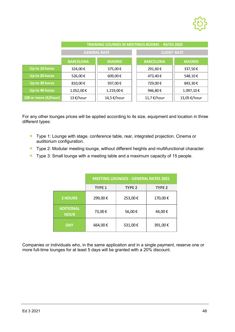

|                                 | <b>TRAINING COURSES IN MEETINGS ROOMS - RATES 2020</b> |                     |                    |               |  |  |  |
|---------------------------------|--------------------------------------------------------|---------------------|--------------------|---------------|--|--|--|
|                                 |                                                        | <b>GENERAL RATE</b> | <b>CLIENT RATE</b> |               |  |  |  |
|                                 | <b>BARCELONA</b>                                       | <b>MADRID</b>       | <b>BARCELONA</b>   | <b>MADRID</b> |  |  |  |
| Up to 10 horas                  | 324,00€                                                | 375,00€             | 291,60€            | 337,50€       |  |  |  |
| Up to 20 horas                  | 526,00€                                                | 609,00€             | 473,40€            | 548,10€       |  |  |  |
| Up to 30 horas                  | 810,00€                                                | 937,00€             | 729,00€            | 843,30€       |  |  |  |
| Up to 40 horas                  | 1.052,00€                                              | 1.219,00€           | 946,80€            | 1.097,10€     |  |  |  |
| 100 or more ( $\epsilon$ /hour) | 13 €/hour                                              | 14,5 €/hour         | 11,7 €/hour        | 13,05 €/hour  |  |  |  |

For any other lounges prices will be applied [according](https://es.pons.com/traducci%C3%B3n/ingl%C3%A9s-espa%C3%B1ol/according) [to](https://es.pons.com/traducci%C3%B3n/ingl%C3%A9s-espa%C3%B1ol/to) [its](https://es.pons.com/traducci%C3%B3n/ingl%C3%A9s-espa%C3%B1ol/its) [size,](https://es.pons.com/traducci%C3%B3n/ingl%C3%A9s-espa%C3%B1ol/size) [equipment](https://es.pons.com/traducci%C3%B3n/ingl%C3%A9s-espa%C3%B1ol/equipment) [and](https://es.pons.com/traducci%C3%B3n/ingl%C3%A9s-espa%C3%B1ol/and) [location](https://es.pons.com/traducci%C3%B3n/ingl%C3%A9s-espa%C3%B1ol/location) in three different types:

- **Type 1: Lounge with stage, conference table, rear, integrated projection. Cinema or** auditorium configuration.
- **Type 2: Modular meeting lounge, without different heights and multifunctional character.**
- **Type 3: Small lounge with a meeting table and a maximum capacity of 15 people.**

|                                 | <b>MEETING LOUNGES - GENERAL RATES 2021</b> |               |               |  |  |
|---------------------------------|---------------------------------------------|---------------|---------------|--|--|
|                                 | <b>TYPE 1</b>                               | <b>TYPE 2</b> | <b>TYPE 2</b> |  |  |
| <b>2 HOURS</b>                  | 299,00€                                     | 253,00€       | 170,00€       |  |  |
| <b>ADITIONAL</b><br><b>HOUR</b> | 73,00€                                      | 56,00€        | 44,00€        |  |  |
| <b>DAY</b>                      | 664,00€                                     | 531,00€       | 391,00€       |  |  |

Companies or individuals who, in the same application and in a single payment, reserve one or more full-time lounges for at least 5 days will be granted with a 20% discount.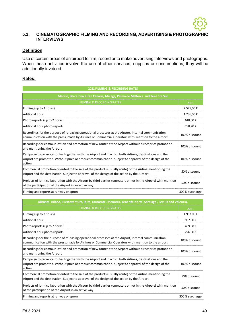

#### **5.3. CINEMATOGRAPHIC FILMING AND RECORDING, ADVERTISING & PHOTOGRAPHIC INTERVIEWS**

#### **Definition**

Use of certain areas of an airport to film, record or to make advertising interviews and photographs. When these activities involve the use of other services, supplies or consumptions, they will be additionally invoiced.

#### **Rates:**

| <b>2021 FILMING &amp; RECORDING RATES</b>                                                                                                                                                                                 |                 |
|---------------------------------------------------------------------------------------------------------------------------------------------------------------------------------------------------------------------------|-----------------|
| Madrid, Barcelona, Gran Canaria, Málaga, Palma de Mallorca and Tenerife Sur                                                                                                                                               |                 |
| <b>FILMING &amp; RECORDING RATES</b>                                                                                                                                                                                      | 2021            |
| Filming (up to 2 hours)                                                                                                                                                                                                   | 2.575,00€       |
| Aditional hour                                                                                                                                                                                                            | 1.236,00€       |
| Photo reports (up to 2 horas)                                                                                                                                                                                             | 618,00€         |
| Aditional hour photo reports                                                                                                                                                                                              | 298,70€         |
| Recordings for the purpose of releasing operational processes at the Airport, internal communication,<br>communication with the press, made by Airlines or Commercial Operators with mention to the airport               | 100% discount   |
| Recordings for communication and promotion of new routes at the Airport without direct price promotion<br>and mentioning the Airport                                                                                      | 100% discount   |
| Campaign to promote routes together with the Airport and in which both airlines, destinations and the<br>Airport are promoted. Without price or product communication. Subject to approval of the design of the<br>action | 100% discount   |
| Commercial promotion oriented to the sale of the products (usually route) of the Airline mentioning the<br>Airport and the destination. Subject to approval of the design of the action by the Airport.                   | 50% discount    |
| Projects of joint collaboration with the Airport by third parties (operators or not in the Airport) with mention<br>of the participation of the Airport in an active way                                                  | 50% discount    |
| Filming and reports at runway or apron                                                                                                                                                                                    | 300 % surcharge |

| Alicante, Bilbao, Fuerteventura, Ibiza, Lanzarote, Menorca, Tenerife Norte, Santiago, Sevilla and Valencia.                                                                                                               |                 |  |  |  |
|---------------------------------------------------------------------------------------------------------------------------------------------------------------------------------------------------------------------------|-----------------|--|--|--|
| <b>FILMING &amp; RECORDING RATES</b>                                                                                                                                                                                      | 2021            |  |  |  |
| Filming (up to 2 hours)                                                                                                                                                                                                   | 1.957,00€       |  |  |  |
| Aditional hour                                                                                                                                                                                                            | 937,30€         |  |  |  |
| Photo reports (up to 2 horas)                                                                                                                                                                                             | 469,68€         |  |  |  |
| Aditional hour photo reports                                                                                                                                                                                              | 226,60€         |  |  |  |
| Recordings for the purpose of releasing operational processes at the Airport, internal communication,<br>communication with the press, made by Airlines or Commercial Operators with mention to the airport               | 100% discount   |  |  |  |
| Recordings for communication and promotion of new routes at the Airport without direct price promotion<br>and mentioning the Airport                                                                                      | 100% discount   |  |  |  |
| Campaign to promote routes together with the Airport and in which both airlines, destinations and the<br>Airport are promoted. Without price or product communication. Subject to approval of the design of the<br>action | 100% discount   |  |  |  |
| Commercial promotion oriented to the sale of the products (usually route) of the Airline mentioning the<br>Airport and the destination. Subject to approval of the design of the action by the Airport.                   | 50% discount    |  |  |  |
| Projects of joint collaboration with the Airport by third parties (operators or not in the Airport) with mention<br>of the participation of the Airport in an active way                                                  | 50% discount    |  |  |  |
| Filming and reports at runway or apron                                                                                                                                                                                    | 300 % surcharge |  |  |  |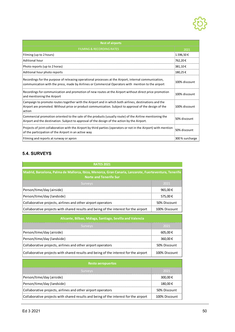

| <b>Rest of airports</b>                                                                                                                                                                                                   |                 |  |  |  |  |
|---------------------------------------------------------------------------------------------------------------------------------------------------------------------------------------------------------------------------|-----------------|--|--|--|--|
| <b>FILMING &amp; RECORDING RATES</b>                                                                                                                                                                                      | 2021            |  |  |  |  |
| Filming (up to 2 hours)                                                                                                                                                                                                   | 1.596,50€       |  |  |  |  |
| Aditional hour                                                                                                                                                                                                            | 762,20€         |  |  |  |  |
| Photo reports (up to 2 horas)                                                                                                                                                                                             | 381,10€         |  |  |  |  |
| Aditional hour photo reports                                                                                                                                                                                              | 180,25€         |  |  |  |  |
| Recordings for the purpose of releasing operational processes at the Airport, internal communication,<br>communication with the press, made by Airlines or Commercial Operators with mention to the airport               | 100% discount   |  |  |  |  |
| Recordings for communication and promotion of new routes at the Airport without direct price promotion<br>and mentioning the Airport                                                                                      | 100% discount   |  |  |  |  |
| Campaign to promote routes together with the Airport and in which both airlines, destinations and the<br>Airport are promoted. Without price or product communication. Subject to approval of the design of the<br>action | 100% discount   |  |  |  |  |
| Commercial promotion oriented to the sale of the products (usually route) of the Airline mentioning the<br>Airport and the destination. Subject to approval of the design of the action by the Airport.                   | 50% discount    |  |  |  |  |
| Projects of joint collaboration with the Airport by third parties (operators or not in the Airport) with mention<br>of the participation of the Airport in an active way                                                  | 50% discount    |  |  |  |  |
| Filming and reports at runway or apron                                                                                                                                                                                    | 300 % surcharge |  |  |  |  |

### **5.4. SURVEYS**

| <b>RATES 2021</b>                                                                                                                       |               |  |  |  |  |
|-----------------------------------------------------------------------------------------------------------------------------------------|---------------|--|--|--|--|
| Madrid, Barcelona, Palma de Mallorca, Ibiza, Menorca, Gran Canaria, Lanzarote, Fuerteventura, Tenerife<br><b>Norte and Tenerife Sur</b> |               |  |  |  |  |
| Surveys                                                                                                                                 | 2021          |  |  |  |  |
| Person/time/day (airside)                                                                                                               | 965,00€       |  |  |  |  |
| Person/time/day (landside)                                                                                                              | 575,00€       |  |  |  |  |
| Collaborative projects, airlines and other airport operators                                                                            | 50% Discount  |  |  |  |  |
| Collaborative projects with shared results and being of the interest for the airport                                                    | 100% Discount |  |  |  |  |
| Alicante, Bilbao, Málaga, Santiago, Sevilla and Valencia                                                                                |               |  |  |  |  |
| Surveys                                                                                                                                 | 2021          |  |  |  |  |
| Person/time/day (airside)                                                                                                               | 605,00€       |  |  |  |  |
| Person/time/day (landside)                                                                                                              | 360,00€       |  |  |  |  |
| Collaborative projects, airlines and other airport operators                                                                            | 50% Discount  |  |  |  |  |
| Collaborative projects with shared results and being of the interest for the airport                                                    | 100% Discount |  |  |  |  |
| <b>Resto aeropuertos</b>                                                                                                                |               |  |  |  |  |
| Surveys                                                                                                                                 | 2021          |  |  |  |  |
| Person/time/day (airside)                                                                                                               | 300,00€       |  |  |  |  |
| Person/time/day (landside)                                                                                                              | 180,00€       |  |  |  |  |

Collaborative projects, airlines and other airport operators **50% Discount** 50% Discount Collaborative projects with shared results and being of the interest for the airport 100% Discount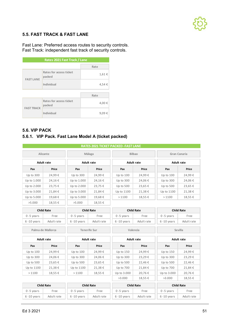

#### **5.5. FAST TRACK & FAST LANE**

Fast Lane: Preferred access routes to security controls. Fast Track: independent fast track of security controls.

| Rates 2021 Fast Track / Lane |                                   |       |  |  |  |
|------------------------------|-----------------------------------|-------|--|--|--|
|                              |                                   | Rate  |  |  |  |
| <b>FAST LANE</b>             | Rates for access ticket<br>packed | 1,61€ |  |  |  |
|                              | Individual                        | 4,54€ |  |  |  |
|                              |                                   | Rate  |  |  |  |
| <b>FAST TRACK</b>            | Rates for access ticket<br>packed | 4,00€ |  |  |  |
|                              | Individual                        | 9,09€ |  |  |  |

#### **5.6. VIP PACK**

### **5.6.1. VIP Pack. Fast Lane Model A (ticket packed)**

|                |                   |                     |            | <b>RATES 2021 TICKET PACKED - FAST LANE</b> |            |                   |            |
|----------------|-------------------|---------------------|------------|---------------------------------------------|------------|-------------------|------------|
|                | Alicante          | Málaga              |            | <b>Bilbao</b>                               |            | Gran Canaria      |            |
|                | <b>Adult rate</b> | <b>Adult rate</b>   |            | <b>Adult rate</b>                           |            | <b>Adult rate</b> |            |
| Pax            | Price             | Pax                 | Price      | Pax                                         | Price      | Pax               | Price      |
| Up to 300      | 24,99€            | Up to 300           | 24,99€     | Up to 100                                   | 24,99€     | Up to 100         | 24,99€     |
| Up to 1.000    | 24,16€            | Up to 1.000         | 24,16€     | Up to 300                                   | 24,06€     | Up to 300         | 24,06€     |
| Up to 2.000    | 23,75€            | Up to 2.000         | 23,75€     | Up to 500                                   | 23,65€     | Up to 500         | 23,65€     |
| Up to 3.000    | 21,84€            | Up to 3.000         | 21,84€     | Up to 1100                                  | 21,38€     | Up to 1100        | 21,38€     |
| Up to 5.000    | 19,68€            | Up to 5.000         | 19,68€     | >1100                                       | 18,55€     | >1100             | 18,55€     |
| >5.000         | 18,55€            | >5.000              | 18,55€     |                                             |            |                   |            |
|                | <b>Child Rate</b> | <b>Child Rate</b>   |            | <b>Child Rate</b>                           |            | <b>Child Rate</b> |            |
| $0 - 5$ years  | Free              | $0 - 5$ years       | Free       | $0 - 5$ years                               | Free       | $0 - 5$ years     | Free       |
| $6 - 10$ years | Adult rate        | $6 - 10$ years      | Adult rate | $6 - 10$ years                              | Adult rate | $6 - 10$ years    | Adult rate |
|                | Palma de Mallorca | <b>Tenerife Sur</b> |            | Valencia                                    |            |                   | Sevilla    |
|                | <b>Adult rate</b> | <b>Adult rate</b>   |            | <b>Adult rate</b>                           |            | Adult rate        |            |
| Pax            | Price             | Pax                 | Price      | Pax                                         | Price      | Pax               | Price      |
| Up to 100      | 24,99€            | Up to 100           | 24,99€     | Up to 150                                   | 24,99€     | Up to 150         | 24,99€     |
| Up to 300      | 24,06€            | Up to 300           | 24,06€     | Up to 300                                   | 23,29€     | Up to 300         | 23,29€     |
| Up to 500      | 23,65€            | Up to 500           | 23,65€     | Up to 500                                   | 22,46€     | Up to 500         | 22,46€     |
| Up to 1100     | 21,38€            | Up to 1100          | 21,38€     | Up to 700                                   | 21,84€     | Up to 700         | 21,84€     |
| >1100          | 18,55€            | >1100               | 18,55€     | Up to 3.000                                 | 20,76€     | Up to 3.000       | 20,76€     |
|                |                   |                     |            | >3.000                                      | 18,55€     | >3.000            | 18,55€     |
|                | <b>Child Rate</b> | <b>Child Rate</b>   |            | <b>Child Rate</b>                           |            | <b>Child Rate</b> |            |
| $0 - 5$ years  | Free              | $0 - 5$ years       | Free       | $0 - 5$ years                               | Free       | $0 - 5$ years     | Free       |
| $6 - 10$ years | Adult rate        | $6 - 10$ years      | Adult rate | $6 - 10$ years                              | Adult rate | $6 - 10$ years    | Adult rate |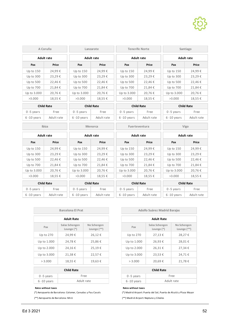

|                | A Coruña          |                   | Lanzarote  |                                        | <b>Tenerife Norte</b> |                   | Santiago   |
|----------------|-------------------|-------------------|------------|----------------------------------------|-----------------------|-------------------|------------|
|                | <b>Adult rate</b> | <b>Adult rate</b> |            | <b>Adult rate</b><br><b>Adult rate</b> |                       |                   |            |
| Pax            | Price             | Pax               | Price      | Pax<br>Price                           |                       | Pax               | Price      |
| Up to 150      | 24,99€            | Up to 150         | 24,99€     | Up to 150                              | 24,99€                | Up to 150         | 24,99€     |
| Up to 300      | 23,29€            | Up to 300         | 23,29€     | Up to 300                              | 23,29€                | Up to 300         | 23,29€     |
| Up to 500      | 22,46€            | Up to 500         | 22,46€     | Up to 500                              | 22,46€                | Up to 500         | 22,46€     |
| Up to 700      | 21,84€            | Up to 700         | 21,84€     | Up to 700                              | 21,84€                | Up to 700         | 21,84€     |
| Up to 3.000    | 20,76€            | Up to 3.000       | 20,76€     | Up to 3.000                            | 20,76€                | Up to 3.000       | 20,76€     |
| >3.000         | 18,55€            | >3.000            | 18,55€     | >3.000                                 | 18,55€                | >3.000            | 18,55€     |
|                | <b>Child Rate</b> | <b>Child Rate</b> |            | <b>Child Rate</b>                      |                       | <b>Child Rate</b> |            |
| $0 - 5$ years  | Free              | $0 - 5$ years     | Free       | $0 - 5$ years                          | Free                  | $0 - 5$ years     | Free       |
| $6 - 10$ years | Adult rate        | $6 - 10$ years    | Adult rate | $6 - 10$ years                         | Adult rate            | $6 - 10$ years    | Adult rate |
|                | Ibiza             | <b>Menorca</b>    |            | Fuerteventura                          |                       | Vigo              |            |
|                | <b>Adult rate</b> | <b>Adult rate</b> |            | <b>Adult rate</b>                      |                       | Adult rate        |            |
| Pax            | Price             | Pax               | Price      | Pax                                    | Price                 | Pax               | Price      |
| Up to 150      | 24,99€            | Up to 150         | 24,99€     | Up to 150                              | 24,99€                | Up to 150         | 24,99€     |
| Up to 300      | 23,29€            | Up to 300         | 23,29€     | Up to 300                              | 23,29€                | Up to 300         | 23,29€     |
| Up to 500      | 22,46€            | Up to 500         | 22,46€     | Up to 500                              | 22,46€                | Up to 500         | 22,46€     |
| Up to 700      | 21,84€            | Up to 700         | 21,84€     | Up to 700                              | 21,84€                | Up to 700         | 21,84€     |
| Up to 3.000    | 20,76€            | Up to 3.000       | 20,76€     | Up to 3.000                            | 20,76€                | Up to 3.000       | 20,76€     |
| >3.000         | 18,55€            | >3.000            | 18,55€     | >3.000                                 | 18,55€                | >3.000            | 18,55€     |
|                | <b>Child Rate</b> | <b>Child Rate</b> |            | <b>Child Rate</b>                      |                       | <b>Child Rate</b> |            |
| $0 - 5$ years  | Free              | $0 - 5$ years     | Free       | $0 - 5$ years                          | Free                  | $0 - 5$ years     | Free       |
| $6 - 10$ years | Adult rate        | $6 - 10$ years    | Adult rate | $6 - 10$ years                         | Adult rate            | $6 - 10$ years    | Adult rate |

| <b>Barcelona El Prat</b> |                                |                              | <b>Adolfo Suárez Madrid Barajas</b> |                                |                         |
|--------------------------|--------------------------------|------------------------------|-------------------------------------|--------------------------------|-------------------------|
|                          | <b>Adult Rate</b>              |                              |                                     | <b>Adult Rate</b>              |                         |
| Pax                      | Salas Schengen<br>Lounge $(*)$ | No Schengen<br>Lounge $(**)$ | Pax                                 | Salas Schengen<br>Lounge $(*)$ | No Schenge<br>Lounge (* |
| Up to 270                | 24,99€                         | 26,12€                       | Up to 270                           | 27,13€                         | 28,27€                  |
| Up to 1.000              | 24,78€                         | 25,86€                       | Up to 1.000                         | 26,93€                         | 28,01€                  |
| Up to 2.000              | 24,16€                         | 25,19€                       | Up to 2.000                         | 26,31€                         | 27,34€                  |
| Up to 3.000              | 21,38€                         | 22,57€                       | Up to 3.000                         | 23,53€                         | 24,71€                  |
| > 3.000                  | 18,55€                         | 19,63€                       | > 3.000                             | 20,69€                         | 21,78€                  |
|                          |                                |                              |                                     |                                |                         |

| $0 - 5$ years  | Free       | $0 - 5$ years  |
|----------------|------------|----------------|
| $6 - 10$ years | Adult rate | $6 - 10$ years |
|                |            |                |

#### **Rates without taxes Rates without taxes**

(\*) Aeropuerto de Barcelona: Colomer, Canudas y Pau Casals (\*\*) Aeropuerto de Barcelona: Miró

|                              | <b>Adolfo Suárez Madrid Barajas</b> |                                |                              |  |  |  |  |
|------------------------------|-------------------------------------|--------------------------------|------------------------------|--|--|--|--|
|                              |                                     |                                |                              |  |  |  |  |
|                              | <b>Adult Rate</b>                   |                                |                              |  |  |  |  |
| lo Schengen<br>Lounge $(**)$ | Pax                                 | Salas Schengen<br>Lounge $(*)$ | No Schengen<br>Lounge $(**)$ |  |  |  |  |
| 26,12€                       | Up to 270                           | 27,13€                         | 28,27€                       |  |  |  |  |
| 25,86€                       | Up to 1.000                         | 26,93€                         | 28,01€                       |  |  |  |  |
| 25,19€                       | Up to 2.000                         | 26,31€                         | 27,34€                       |  |  |  |  |
| 22,57€                       | Up to 3.000                         | 23,53€                         | 24,71€                       |  |  |  |  |
| 19,63€                       | > 3.000                             | 20,69€                         | 21,78€                       |  |  |  |  |
|                              |                                     |                                |                              |  |  |  |  |

| <b>Child Rate</b> |            |  |  |
|-------------------|------------|--|--|
| $0 - 5$ years     | Free       |  |  |
| $6 - 10$ years    | Adult rate |  |  |

(\*) Madrid Airport: Puerta del Sol, Puerta de Alcalá y Plaza Mayor (\*\*) Madrid Airport: Neptuno y Cibeles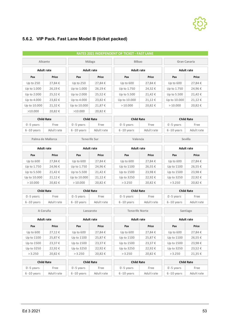

# **5.6.2. VIP Pack. Fast Lane Model B (ticket packed)**

|                   |                   |                     |            | <b>RATES 2021 INDEPENDENT OF TICKET - FAST LANE</b> |            |                   |            |
|-------------------|-------------------|---------------------|------------|-----------------------------------------------------|------------|-------------------|------------|
| Alicante          |                   | Málaga              |            | <b>Bilbao</b>                                       |            | Gran Canaria      |            |
| <b>Adult rate</b> |                   | <b>Adult rate</b>   |            | <b>Adult rate</b>                                   |            | <b>Adult rate</b> |            |
| Pax               | Price             | Pax                 | Price      | Pax                                                 | Price      | Pax               | Price      |
| Up to 250         | 27,84€            | Up to 250           | 27,84€     | Up to 600                                           | 27,84€     | Up to 600         | 27,84€     |
| Up to 1.000       | 26,19€            | Up to 1.000         | 26,19€     | Up to 1.750                                         | 24,32€     | Up to 1.750       | 24,96€     |
| Up to 2.000       | 25,52€            | Up to 2.000         | 25,52€     | Up to 5.500                                         | 21,42€     | Up to 5.500       | 21,42€     |
| Up to 4.000       | 23,82€            | Up to 4.000         | 23,82€     | Up to 10.000                                        | 21,12€     | Up to 10.000      | 21,12€     |
| Up to 10.000      | 21,32€            | Up to 10.000        | 21,87€     | >10.000                                             | 20,82€     | >10.000           | 20,82€     |
| >10.000           | 20,82€            | >10.000             | 20,82€     |                                                     |            |                   |            |
|                   | <b>Child Rate</b> | <b>Child Rate</b>   |            | <b>Child Rate</b>                                   |            | <b>Child Rate</b> |            |
| $0 - 5$ years     | Free              | $0 - 5$ years       | Free       | $0 - 5$ years                                       | Free       | $0 - 5$ years     | Free       |
| $6 - 10$ years    | Adult rate        | $6 - 10$ years      | Adult rate | $6 - 10$ years                                      | Adult rate | $6 - 10$ years    | Adult rate |
|                   | Palma de Mallorca | <b>Tenerife Sur</b> |            | Valencia                                            |            | Sevilla           |            |
| <b>Adult rate</b> |                   | <b>Adult rate</b>   |            | <b>Adult rate</b>                                   |            | <b>Adult rate</b> |            |
| Pax               | Price             | Pax                 | Price      | Pax                                                 | Price      | Pax               | Price      |
| Up to 600         | 27,84€            | Up to 600           | 27,84€     | Up to 600                                           | 27,84€     | Up to 600         | 27,84€     |
| Up to 1.750       | 24,96€            | Up to 1.750         | 24,96€     | Up to 1100                                          | 26,55€     | Up to 1100        | 26,55€     |
| Up to 5.500       | 21,42€            | Up to 5.500         | 21,42€     | Up to 1500                                          | 23,98€     | Up to 1500        | 23,98€     |
| Up to 10.000      | 21,12€            | Up to 10.000        | 21,12€     | Up to 3250                                          | 22,92€     | Up to 3250        | 22,92€     |
| >10.000           | 20,82€            | >10.000             | 20,82€     | > 3.250                                             | 20,82€     | > 3.250           | 20,82€     |
|                   | <b>Child Rate</b> | <b>Child Rate</b>   |            | <b>Child Rate</b>                                   |            | <b>Child Rate</b> |            |
| $0 - 5$ years     | Free              | $0 - 5$ years       | Free       | $0 - 5$ years                                       | Free       | $0 - 5$ years     | Free       |
| $6 - 10$ years    | Adult rate        | $6 - 10$ years      | Adult rate | $6 - 10$ years                                      | Adult rate | $6 - 10$ years    | Adult rate |
|                   | A Coruña          | Lanzarote           |            | <b>Tenerife Norte</b>                               |            | Santiago          |            |
| <b>Adult rate</b> |                   | <b>Adult rate</b>   |            | <b>Adult rate</b>                                   |            | <b>Adult rate</b> |            |
| Pax               | Price             | Pax                 | Price      | Pax                                                 | Price      | Pax               | Price      |
| Up to $600$       | 27,12€            | Up to $600$         | 27,84 €    | Up to $600$                                         | 27,84 €    | Up to 600         | 27,84 €    |
| Up to 1100        | 25,87€            | Up to 1100          | 25,87€     | Up to 1100                                          | 25,87€     | Up to 1100        | 26,55€     |
| Up to 1500        | 23,37€            | Up to 1500          | 23,37€     | Up to 1500                                          | 23,37€     | Up to 1500        | 23,98€     |
| Up to 3250        | 22,92€            | Up to 3250          | 22,92€     | Up to 3250                                          | 22,92€     | Up to 3250        | 23,52€     |
| >3.250            | 20,82€            | > 3.250             | 20,82 €    | > 3.250                                             | 20,82€     | > 3.250           | 21,35€     |
|                   | <b>Child Rate</b> | <b>Child Rate</b>   |            | <b>Child Rate</b>                                   |            | <b>Child Rate</b> |            |
| $0 - 5$ years     | Free              | $0 - 5$ years       | Free       | $0 - 5$ years                                       | Free       | $0 - 5$ years     | Free       |
| $6 - 10$ years    | Adult rate        | $6 - 10$ years      | Adult rate | $6 - 10$ years                                      | Adult rate | $6 - 10$ years    | Adult rate |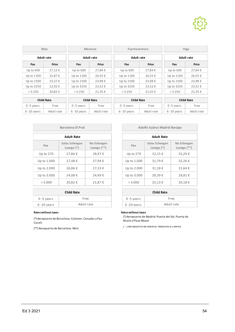

| Ibiza             |                                                             | Menorca           |        | Fuerteventura     |        | Vigo              |         |
|-------------------|-------------------------------------------------------------|-------------------|--------|-------------------|--------|-------------------|---------|
|                   | <b>Adult rate</b><br><b>Adult rate</b><br><b>Adult rate</b> |                   |        |                   |        | <b>Adult rate</b> |         |
| Pax               | Price                                                       | Pax               | Price  | Pax               | Price  | Pax               | Price   |
| Up to $600$       | 27,12€                                                      | Up to 600         | 27,84€ | Up to $600$       | 27,84€ | Up to 600         | 27,84 € |
| Up to 1100        | 25,87€                                                      | Up to 1100        | 26,55€ | Up to 1100        | 26,55€ | Up to 1100        | 26,55€  |
| Up to 1500        | 23,37€                                                      | Up to 1500        | 23,98€ | Up to 1500        | 23,98€ | Up to 1500        | 23,98€  |
| Up to 3250        | 22,92€                                                      | Up to 3250        | 23,52€ | Up to 3250        | 23,52€ | Up to 3250        | 23,52€  |
| > 3.250           | 20,82€                                                      | > 3.250           | 21,35€ | > 3.250           | 21,35€ | > 3.250           | 21,35€  |
| <b>Child Rate</b> |                                                             | <b>Child Rate</b> |        | <b>Child Rate</b> |        | <b>Child Rate</b> |         |
| $0 - 5$ years     | Free                                                        | $0 - 5$ years     | Free   | $0 - 5$ years     | Free   | $0 - 5$ years     | Free    |

6 -10 years Adult rate 6 -10 years Adult rate 6 -10 years Adult rate 6 -10 years Adult rate

| <b>Barcelona El Prat</b> |                                |                              |
|--------------------------|--------------------------------|------------------------------|
|                          | <b>Adult Rate</b>              |                              |
| Pax                      | Salas Schengen<br>Lounge $(*)$ | No Schengen<br>Lounge $(**)$ |
| Up to 270                | 27,84€                         | 28,97€                       |
| Up to 1.000              | 27,48€                         | 27,94€                       |
| Up to 2.000              | 26,86€                         | 27,33€                       |
| Up to 3.000              | 24,08€                         | 24,49€                       |
| > 3.000                  | 20,82€                         | 21,87€                       |

| <b>Child Rate</b> |            |  |                | <b>Child Rate</b> |
|-------------------|------------|--|----------------|-------------------|
| $0 - 5$ years     | Free       |  | $0 - 5$ years  |                   |
| $6 - 10$ years    | Adult rate |  | $6 - 10$ years | Aс                |

#### **Rates without taxes Rates without taxes**

(\*) Aeropuerto de Barcelona: Colomer, Canudas y Pau Casals

|                                     | <b>Adult Rate</b> |                                |                              |  |
|-------------------------------------|-------------------|--------------------------------|------------------------------|--|
| <b>Vo Schengen</b><br>Lounge $(**)$ | Pax               | Salas Schengen<br>Lounge $(*)$ | No Schengen<br>Lounge $(**)$ |  |
| 28,97€                              | Up to 270         | 32,15€                         | 33,29€                       |  |
| 27.94€                              | Up to 1.000       | 31,79€                         | 32,26€                       |  |
| 27,33€                              | Up to 2.000       | 31,18€                         | 31,64€                       |  |
| 24,49€                              | Up to 3.000       | 28,39€                         | 28,81€                       |  |
| 21,87€                              | > 3.000           | 25,13€                         | 26,18€                       |  |

| :e         | <b>Child Rate</b> |            |  |
|------------|-------------------|------------|--|
| Free       | $0 - 5$ years     | Free       |  |
| Adult rate | $6 - 10$ years    | Adult rate |  |

(\*) Aeropuerto de Madrid: Puerta del Sol, Puerta de Alcalá y Plaza Mayor

(\*\*) Aeropuerto de Barcelona: Miró (\*\*) Aeropuerto de Madrid: Neptuno y Cibeles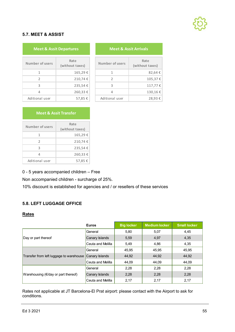### **5.7. MEET & ASSIST**

| <b>Meet &amp; Assit Departures</b> |                         |  |  |  |
|------------------------------------|-------------------------|--|--|--|
| Number of users                    | Rate<br>(without taxes) |  |  |  |
| 1                                  | 165,29€                 |  |  |  |
| $\mathcal{P}$                      | 210,74€                 |  |  |  |
| 3                                  | 235,54€                 |  |  |  |
| 4                                  | 260,33€                 |  |  |  |
| Aditional user                     | 57,85€                  |  |  |  |

#### **Meet & Assit Arrivals**

| Number of users | Rate<br>(without taxes) |
|-----------------|-------------------------|
| 1               | 82,64€                  |
| $\mathcal{P}$   | 105,37€                 |
| 3               | 117,77€                 |
| 4               | 130,16€                 |
| Aditional user  | 28,93€                  |

| <b>Meet &amp; Assit Transfer</b> |                         |  |  |  |
|----------------------------------|-------------------------|--|--|--|
| Number of users                  | Rate<br>(without taxes) |  |  |  |
| 1                                | 165,29€                 |  |  |  |
| $\mathfrak{D}$                   | 210,74€                 |  |  |  |
| 3                                | 235,54€                 |  |  |  |
| 4                                | 260,33€                 |  |  |  |
| Aditional user                   | 57,85€                  |  |  |  |

#### 0 - 5 years accompanied children – Free

Non accompanied children - surcharge of 25%.

10% discount is established for agencies and / or resellers of these services

#### **5.8. LEFT LUGGAGE OFFICE**

#### **Rates**

|                                                | <b>Euros</b>      | <b>Big locker</b> | <b>Medium locker</b> | <b>Small locker</b> |
|------------------------------------------------|-------------------|-------------------|----------------------|---------------------|
|                                                | General           | 5,80              | 5,07                 | 4.45                |
| Day or part thereof                            | Canary Islands    | 5,59              | 4,97                 | 4,35                |
|                                                | Ceuta and Melilla | 5,49              | 4,86                 | 4,35                |
|                                                | General           | 45,95             | 45,95                | 45.95               |
| Transfer from left luggage to warehouse        | Canary Islands    | 44,92             | 44,92                | 44,92               |
|                                                | Ceuta and Melilla | 44,09             | 44,09                | 44.09               |
|                                                | General           | 2,28              | 2,28                 | 2,28                |
| Warehousing ( $\epsilon$ /day or part thereof) | Canary Islands    | 2,28              | 2,28                 | 2,28                |
|                                                | Ceuta and Melilla | 2,17              | 2,17                 | 2,17                |

Rates not applicable at JT Barcelona-El Prat airport: please contact with the Airport to ask for conditions.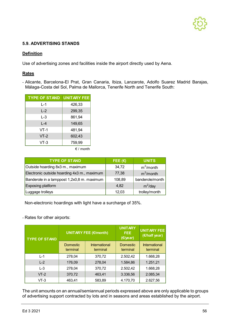

#### **5.9. ADVERTISING STANDS**

#### **Definition**

Use of advertising zones and facilities inside the airport directly used by Aena.

#### **Rates**

- Alicante, Barcelona-El Prat, Gran Canaria, Ibiza, Lanzarote, Adolfo Suarez Madrid Barajas, Málaga-Costa del Sol, Palma de Mallorca, Tenerife North and Tenerife South:

| <b>TYPE OF STAND</b> | <b>UNITARY FEE</b> |
|----------------------|--------------------|
| L-1                  | 426,33             |
| $L-2$                | 299,35             |
| L-3                  | 861,94             |
| $L - 4$              | 149,65             |
| $VT-1$               | 481,94             |
| $VT-2$               | 602,43             |
| VT-3                 | 759,99             |

€ / month

| <b>TYPE OF STAND</b>                        | FEE $(E)$ | <b>UNITS</b>    |
|---------------------------------------------|-----------|-----------------|
| Outside hoarding 8x3 m., maximum            | 34,72     | $m^2$ /month    |
| Electronic outside hoarding 4x3 m., maximum | 77,38     | $m^2$ /month    |
| Banderole in a lamppost 1,2x0,8 m. maximum  | 108,89    | banderole/month |
| Exposing platform                           | 4,82      | $m^2$ /day      |
| Luggage trolleys                            | 12,03     | trolley/month   |

Non-electronic hoardings with light have a surcharge of 35%.

#### - Rates for other airports:

| <b>TYPE OF STAND</b> | UNITARY FEE (€/month) |                                  | <b>UNITARY</b><br>FEE.<br>(E/year) | <b>UNITARY FEE</b><br>(€/half year) |
|----------------------|-----------------------|----------------------------------|------------------------------------|-------------------------------------|
|                      | Domestic<br>terminal  | <b>International</b><br>terminal | <b>Domestic</b><br>terminal        | <b>International</b><br>terminal    |
| $L - 1$              | 278,04                | 370,72                           | 2.502,42                           | 1.668,28                            |
| $L-2$                | 176,09                | 278,04                           | 1.584,86                           | 1.251,21                            |
| $L-3$                | 278,04                | 370,72                           | 2.502,42                           | 1.668,28                            |
| $VT-2$               | 370,72                | 463,41                           | 3.336,56                           | 2.085,34                            |
| $VT-3$               | 463,41                | 583,89                           | 4.170,70                           | 2.627,56                            |

The unit amounts on an annual/semiannual periods expressed above are only applicable to groups of advertising support contracted by lots and in seasons and areas established by the airport.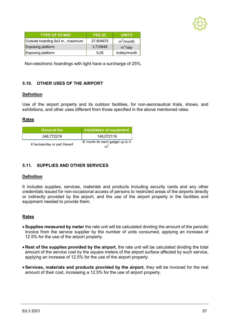

| <b>TYPE OF STAND</b>             | FEE $(E)$ | <b>UNITS</b>  |
|----------------------------------|-----------|---------------|
| Outside hoarding 8x3 m., maximum | 27,804675 | $m^2$ /month  |
| <b>Exposing platform</b>         | 3,733648  | $m^2$ /day    |
| <b>Exposing platform</b>         | 9.26      | trolley/month |

Non-electronic hoardings with light have a surcharge of 25%.

#### **5.10. OTHER USES OF THE AIRPORT**

#### **Definition**

Use of the airport property and its outdoor facilities, for non-aeronautical trials, shows, and exhibitions, and other uses different from those specified in the above mentioned rates.

#### **Rates**

| <b>General fee</b>                     | Installation of equipment                                  |
|----------------------------------------|------------------------------------------------------------|
| 246,772219                             | 148,072119                                                 |
| $\epsilon$ hectare/day or part thereof | $\epsilon$ month for each gadget up to 4<br>m <sup>2</sup> |

#### **5.11. SUPPLIES AND OTHER SERVICES**

#### **Definition**

It includes supplies, services, materials and products including security cards and any other credentials issued for non-occasional access of persons to restricted areas of the airports directly or indirectly provided by the airport, and the use of the airport property in the facilities and equipment needed to provide them.

#### **Rates**

- **Supplies measured by meter** the rate unit will be calculated dividing the amount of the periodic invoice from the service supplier by the number of units consumed, applying an increase of 12.5% for the use of the airport property.
- **Rest of the supplies provided by the airport**, the rate unit will be calculated dividing the total amount of the service cost by the square meters of the airport surface affected by such service, applying an increase of 12.5% for the use of the airport property.
- **Services, materials and products provided by the airport**, they will be invoiced for the real amount of their cost, increasing a 12.5% for the use of airport property.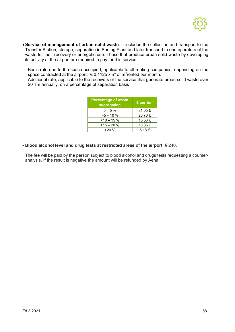

- **Service of management of urban solid waste**: It includes the collection and transport to the Transfer Station, storage, separation in Sorting Plant and later transport to end operators of the waste for their recovery or energetic use. Those that produce urban solid waste by developing its activity at the airport are required to pay for this service.
	- Basic rate due to the space occupied, applicable to all renting companies, depending on the space contracted at the airport:  $\epsilon$  0,1125 x nº of m<sup>2</sup>rented per month.
	- Additional rate, applicable to the receivers of the service that generate urban solid waste over 20 Tm annually, on a percentage of separation basis

| <b>Percentage of waste</b><br>segregation | $\epsilon$ per ton |
|-------------------------------------------|--------------------|
| $0 - 5\%$                                 | 31,05 €            |
| $>5 - 10%$                                | 20,70€             |
| $>10 - 15%$                               | 15,53 €            |
| $>15 - 20%$                               | 10,35€             |
| >20%                                      | 5.18€              |

#### • **Blood alcohol level and drug tests at restricted areas of the airport**: € 240.

The fee will be paid by the person subject to blood alcohol and drugs tests requesting a counteranalysis. If the result is negative the amount will be refunded by Aena.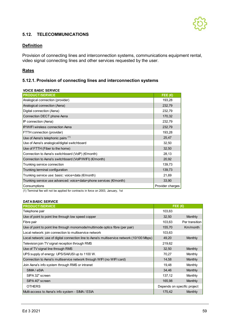

#### **5.12. TELECOMMUNICATIONS**

#### **Definition**

Provision of connecting lines and interconnection systems, communications equipment rental, video signal connecting lines and other services requested by the user.

#### **Rates**

### **5.12.1. Provision of connecting lines and interconnection systems**

| <b>VOICE BASIC SERVICE</b>                                         |                  |
|--------------------------------------------------------------------|------------------|
| <b>PRODUCT/SERVICE</b>                                             | FEE $(E)$        |
| Analogical connection (provider)                                   | 193,28           |
| Analogical connection (Aena)                                       | 232,79           |
| Digital connection (Aena)                                          | 232,79           |
| Connection DECT phone Aena                                         | 170,32           |
| IP connection (Aena)                                               | 232,79           |
| <b>IP/WIFI wireless connection Aena</b>                            | 232,79           |
| FTTH connection (provider)                                         | 193,28           |
| Use of Aena's telephonic pairs (1)                                 | 25,47            |
| Use of Aena's analogical/digital switchboard                       | 32,50            |
| Use of FTTH (Fiber to the home)                                    | 32,50            |
| Connection to Aena's switchboard (VoIP) (€/month)                  | 28,13            |
| Connection to Aena's switchboard (VoIP/WIFI) (€/month)             | 20,92            |
| Trunking service connection                                        | 139,73           |
| Trunking terminal configuration                                    | 139,73           |
| Trunking service use: basic: voice+data (€/month)                  | 21,69            |
| Trunking service use advanced: voice+data+phone services (€/month) | 33,90            |
| Consumptions                                                       | Provider charges |

(1) Terminal fee will not be applied for contracts in force on 2003, January, 1st

#### **DATA BASIC SERVICE**

| <b>PRODUCT/SERVICE</b>                                                                     |        | FEE $(E)$                   |
|--------------------------------------------------------------------------------------------|--------|-----------------------------|
| Telephone pair                                                                             | 103,63 |                             |
| Use of point to point line through low speed copper                                        | 32,50  | <b>Monthly</b>              |
| Fibre pair                                                                                 | 103,63 | Per transition              |
| Use of point to point line through monomode/multimode optics fibre (per pair)              | 155,70 | Km/month                    |
| Local network: join connection to multiservice network                                     | 103,63 |                             |
| Local network: use of digital connection line to Aena's multiservice network (10/100 Mbps) | 49,20  | <b>Monthly</b>              |
| Television: join TV signal reception through RMS                                           | 219,62 |                             |
| Use of TV signal line through RMS                                                          | 32,50  | <b>Monthly</b>              |
| UPS:supply of energy: UPS/SAI/USI up to 1100 W.                                            | 70,27  | <b>Monthly</b>              |
| Connection to Aena's multiservice network through WIFI (no WIFI card)                      | 14,58  | Monthly                     |
| Join Aena's info system through RMS or intranet                                            | 19,48  | Monthly                     |
| SIMA / eSIA                                                                                | 34,46  | <b>Monthly</b>              |
| SIPA 32" screen                                                                            | 137,12 | Monthly                     |
| SIPA 40" screen                                                                            | 165,98 | <b>Monthly</b>              |
| <b>OTHERS</b>                                                                              |        | Depends on specific project |
| Multi-access to Aena's info system - SIMA / ESIA                                           | 175,42 | Monthly                     |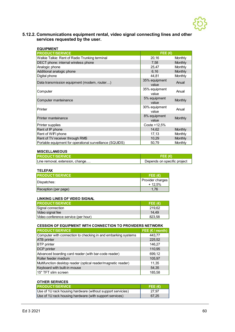

#### **5.12.2. Communications equipment rental, video signal connecting lines and other services requested by the user.**

| <b>EQUIPMENT</b>                                         |                        |                |
|----------------------------------------------------------|------------------------|----------------|
| <b>PRODUCT/SERVICE</b>                                   | FEE $(\epsilon)$       |                |
| Walkie Talkie: Rent of Radio Trunking terminal           | 20,16                  | Monthly        |
| DECT phone: internal wireless phone                      | 7,58                   | Monthly        |
| Analogic phone                                           | 25,47                  | <b>Monthly</b> |
| Additional analogic phone                                | 6,16                   | Monthly        |
| Digital phone                                            | 44,81                  | Monthly        |
| Data transmission equipment (modem, router)              | 35% equipment<br>value | Anual          |
| Computer                                                 | 35% equipment<br>value | Anual          |
| Computer manteinance                                     | 5% equipment<br>value  | Monthly        |
| Printer                                                  | 30% equipment<br>value | Anual          |
| Printer manteinance                                      | 8% equipment<br>value  | Monthly        |
| Printer supplies                                         | Coste +12,5%           |                |
| Rent of IP phone                                         | 14,62                  | Monthly        |
| Rent of WIFI phone                                       | 17,13                  | <b>Monthly</b> |
| Rent of TV receiver through RMS                          | 10,29                  | Monthly        |
| Portable equipment for operational surveillance (SQUIDS) | 50,79                  | Monthly        |

#### **MISCELLANEOUS**

| <b>PRODUCT/SERVICE</b>          | IFEE (€)                    |
|---------------------------------|-----------------------------|
| Line removal, extension, change | Depends on specific project |

#### **TELEFAX**

| <b>PRODUCT/SERVICE</b> | FEE $(E)$        |
|------------------------|------------------|
| Dispatches:            | Provider charges |
|                        | $+12.5%$         |
| Reception (per page)   | 1.76             |

#### **LINKING LINES OF VIDEO SIGNAL**

| <b>PRODUCT/SERVICE</b>              | FEE $(E)$ |
|-------------------------------------|-----------|
| Signal connection                   | 219.62    |
| Video signal fee                    | 14.49     |
| Video conference service (per hour) | 823.58    |

#### **CESSION OF EQUIPMENT WITH CONNECTION TO PROVIDERS NETWORK**

| <b>PRODUCT/SERVICE</b>                                        | FEE ( $\epsilon$ / month) |
|---------------------------------------------------------------|---------------------------|
| Computer with connection to checking in and embarking systems | 443.77                    |
| <b>ATB</b> printer                                            | 225,52                    |
| <b>BTP</b> printer                                            | 146,27                    |
| <b>DCP</b> printer                                            | 110,95                    |
| Advanced boarding card reader (with bar-code reader)          | 699,12                    |
| Roller feeder medium                                          | 105,97                    |
| Multifunction desktop reader (optical reader/magnetic reader) | 11,35                     |
| Keyboard with built-in mouse                                  | 54,35                     |
| 15" TFT slim screen                                           | 185.58                    |

#### **OTHER SERVICES**

| <b>PRODUCT/SERVICE</b>                                      | FEE $(E)$ |
|-------------------------------------------------------------|-----------|
| Use of 1U rack housing hardware (without support servicies) | 27.97     |
| Use of 1U rack housing hardware (with support services)     | 67.25     |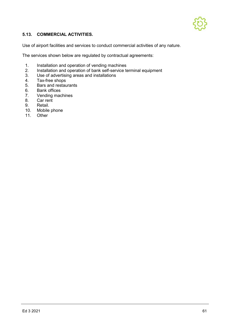

#### **5.13. COMMERCIAL ACTIVITIES.**

Use of airport facilities and services to conduct commercial activities of any nature.

The services shown below are regulated by contractual agreements:

- 1. Installation and operation of vending machines<br>2. Installation and operation of bank self-service te
- 2. Installation and operation of bank self-service terminal equipment<br>3. Use of advertising areas and installations
- 3. Use of advertising areas and installations<br>4. Tax-free shops
- 4. Tax-free shops<br>5. Bars and restau
- 5. Bars and restaurants<br>6. Bank offices
- Bank offices
- 7. Vending machines<br>8. Car rent
- Car rent
- 9. Retail.
- 10. Mobile phone
- 11. Other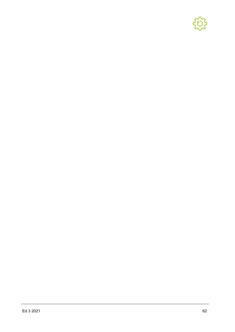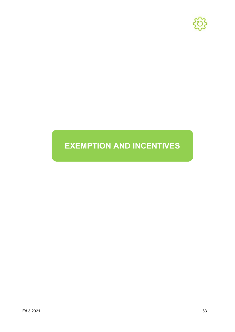

# **EXEMPTION AND INCENTIVES**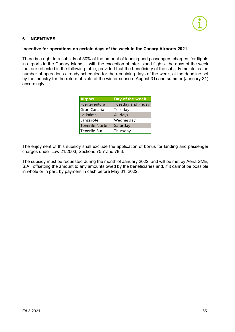

#### **6. INCENTIVES**

#### **Incentive for operations on certain days of the week in the Canary Airports 2021**

There is a right to a subsidy of 50% of the amount of landing and passengers charges, for flights in airports in the Canary Islands - with the exception of inter-island flights- the days of the week that are reflected in the following table, provided that the beneficiary of the subsidy maintains the number of operations already scheduled for the remaining days of the week, at the deadline set by the industry for the return of slots of the winter season (August 31) and summer (January 31) accordingly.

| <b>Airport</b> | Day of the week    |
|----------------|--------------------|
| Fuerteventura  | Tuesday and Friday |
| Gran Canaria   | Tuesday            |
| La Palma       | All days           |
| Lanzarote      | Wednesday          |
| Tenerife Norte | Saturday           |
| Tenerife Sur   | Thursday           |

The enjoyment of this subsidy shall exclude the application of bonus for landing and passenger charges under Law 21/2003, Sections 75.7 and 78.3.

The subsidy must be requested during the month of January 2022, and will be met by Aena SME, S.A. offsetting the amount to any amounts owed by the beneficiaries and, if it cannot be possible in whole or in part, by payment in cash before May 31, 2022.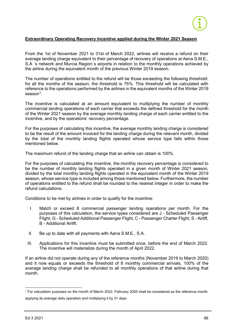#### **Extraordinary Operating Recovery Incentive applied during the Winter 2021 Season**

From the 1st of November 2021 to 31st of March 2022, airlines will receive a refund on their average landing charge equivalent to their percentage of recovery of operations at Aena S.M.E., S.A ´s network and Murcia Region´s airports in relation to the monthly operations achieved by the airline during the equivalent month of the previous Winter 2019 season.

The number of operations entitled to the refund will be those exceeding the following threshold: for all the months of the season, the threshold is 75%. This threshold will be calculated with reference to the operations performed by the airlines in the equivalent months of the Winter 2019 season**[1](#page-67-0)**.

The incentive is calculated at an amount equivalent to multiplying the number of monthly commercial landing operations of each carrier that exceeds the defined threshold for the month of the Winter 2021 season by the average monthly landing charge of each carrier entitled to the incentive, and by the operations' recovery percentage.

For the purposes of calculating this incentive, the average monthly landing charge is considered to be the result of the amount invoiced for the landing charge during the relevant month, divided by the total of the monthly landing flights operated whose service type falls within those mentioned below.

The maximum refund of the landing charge that an airline can obtain is 100%.

For the purposes of calculating this incentive, the monthly recovery percentage is considered to be the number of monthly landing flights operated in a given month of Winter 2021 season, divided by the total monthly landing flights operated in the equivalent month of the Winter 2019 season, whose service type is included among those mentioned below. Furthermore, the number of operations entitled to the refund shall be rounded to the nearest integer in order to make the refund calculations.

Conditions to be met by airlines in order to qualify for the incentive:

- I. Match or exceed 8 commercial passenger landing operations per month. For the purposes of this calculation, the service types considered are J - Scheduled Passenger Flight, G - Scheduled Additional Passenger Flight, C - Passenger Charter Flight, S - Airlift, B - Additional Airlift.
- II. Be up to date with all payments with Aena S.M.E., S.A.
- III. Applications for this incentive must be submitted once, before the end of March 2022. The incentive will materialize during the month of April 2022.

If an airline did not operate during any of the reference months (November 2019 to March 2020) and it now equals or exceeds the threshold of 8 monthly commercial arrivals, 100% of the average landing charge shall be refunded to all monthly operations of that airline during that month.

<span id="page-67-0"></span> $1$  For calculation purposes on the month of March 2022, February 2020 shall be considered as the reference month, applying its average daily operation and multiplying it by 31 days.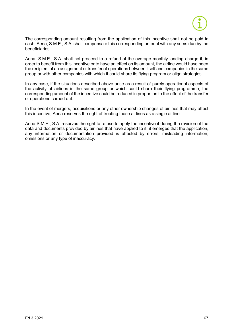The corresponding amount resulting from the application of this incentive shall not be paid in cash. Aena, S.M.E., S.A. shall compensate this corresponding amount with any sums due by the beneficiaries.

Aena, S.M.E., S.A. shall not proceed to a refund of the average monthly landing charge if, in order to benefit from this incentive or to have an effect on its amount, the airline would have been the recipient of an assignment or transfer of operations between itself and companies in the same group or with other companies with which it could share its flying program or align strategies.

In any case, if the situations described above arise as a result of purely operational aspects of the activity of airlines in the same group or which could share their flying programme, the corresponding amount of the incentive could be reduced in proportion to the effect of the transfer of operations carried out.

In the event of mergers, acquisitions or any other ownership changes of airlines that may affect this incentive, Aena reserves the right of treating those airlines as a single airline.

Aena S.M.E., S.A. reserves the right to refuse to apply the incentive if during the revision of the data and documents provided by airlines that have applied to it, it emerges that the application, any information or documentation provided is affected by errors, misleading information, omissions or any type of inaccuracy.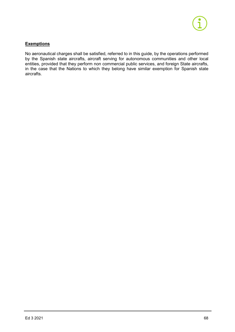#### **Exemptions**

No aeronautical charges shall be satisfied, referred to in this guide, by the operations performed by the Spanish state aircrafts, aircraft serving for autonomous communities and other local entities, provided that they perform non commercial public services, and foreign State aircrafts, in the case that the Nations to which they belong have similar exemption for Spanish state aircrafts.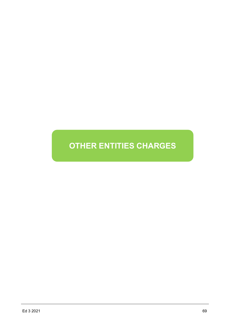# **OTHER ENTITIES CHARGES**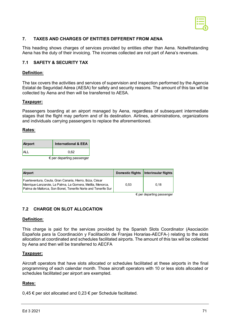

## **7. TAXES AND CHARGES OF ENTITIES DIFFERENT FROM AENA**

This heading shows charges of services provided by entities other than Aena. Notwithstanding Aena has the duty of their invoicing. The incomes collected are not part of Aena's revenues.

### **7.1 SAFETY & SECURITY TAX**

### **Definition**:

The tax covers the activities and services of supervision and inspection performed by the Agencia Estatal de Seguridad Aérea (AESA) for safety and security reasons. The amount of this tax will be collected by Aena and then will be transferred to AESA.

### **Taxpayer:**

Passengers boarding at an airport managed by Aena, regardless of subsequent intermediate stages that the flight may perform and of its destination. Airlines, administrations, organizations and individuals carrying passengers to replace the aforementioned.

#### **Rates**:

| <b>Airport</b>            | <b>International &amp; EEA</b> |  |
|---------------------------|--------------------------------|--|
| I AI I                    | 0.62                           |  |
| f nor donarting naccongor |                                |  |

€ per departing passenger

| <b>Airport</b>                                                                                                                                                                          | <b>Domestic flights</b> | Interinsular flights |
|-----------------------------------------------------------------------------------------------------------------------------------------------------------------------------------------|-------------------------|----------------------|
| Fuerteventura, Ceuta, Gran Canaria, Hierro, Ibiza, César<br>Manrique-Lanzarote, La Palma, La Gomera, Melilla, Menorca,<br>Palma de Mallorca, Son Bonet, Tenerife Norte and Tenerife Sur | 0.53                    | 0.18                 |

€ per departing passenger

## **7.2 CHARGE ON SLOT ALLOCATION**

### **Definition**:

This charge is paid for the services provided by the Spanish Slots Coordinator (Asociación Española para la Coordinación y Facilitación de Franjas Horarias-AECFA-) relating to the slots allocation at coordinated and schedules facilitated airports. The amount of this tax will be collected by Aena and then will be transferred to AECFA

### **Taxpayer:**

Aircraft operators that have slots allocated or schedules facilitated at these airports in the final programming of each calendar month. Those aircraft operators with 10 or less slots allocated or schedules facilitated per airport are exempted.

### **Rates:**

0,45 € per slot allocated and 0,23 € per Schedule facilitated.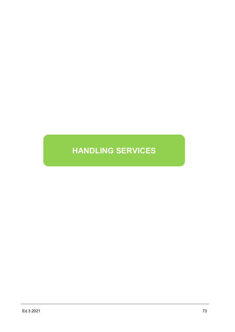# **HANDLING SERVICES**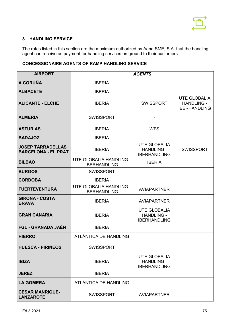

# **8. HANDLING SERVICE**

The rates listed in this section are the maximum authorized by Aena SME, S.A. that the handling agent can receive as payment for handling services on ground to their customers.

## **CONCESSIONAIRE AGENTS OF RAMP HANDLING SERVICE**

| <b>AIRPORT</b>                                         | <b>AGENTS</b>                                  |                                                                 |                                                                 |
|--------------------------------------------------------|------------------------------------------------|-----------------------------------------------------------------|-----------------------------------------------------------------|
| A CORUÑA                                               | <b>IBERIA</b>                                  |                                                                 |                                                                 |
| <b>ALBACETE</b>                                        | <b>IBERIA</b>                                  |                                                                 |                                                                 |
| <b>ALICANTE - ELCHE</b>                                | <b>IBERIA</b>                                  | <b>SWISSPORT</b>                                                | <b>UTE GLOBALIA</b><br><b>HANDLING -</b><br><b>IBERHANDLING</b> |
| <b>ALMERIA</b>                                         | <b>SWISSPORT</b>                               |                                                                 |                                                                 |
| <b>ASTURIAS</b>                                        | <b>IBERIA</b>                                  | <b>WFS</b>                                                      |                                                                 |
| <b>BADAJOZ</b>                                         | <b>IBERIA</b>                                  |                                                                 |                                                                 |
| <b>JOSEP TARRADELLAS</b><br><b>BARCELONA - EL PRAT</b> | <b>IBERIA</b>                                  | <b>UTE GLOBALIA</b><br><b>HANDLING -</b><br><b>IBERHANDLING</b> | <b>SWISSPORT</b>                                                |
| <b>BILBAO</b>                                          | UTE GLOBALIA HANDLING -<br><b>IBERHANDLING</b> | <b>IBERIA</b>                                                   |                                                                 |
| <b>BURGOS</b>                                          | <b>SWISSPORT</b>                               |                                                                 |                                                                 |
| <b>CORDOBA</b>                                         | <b>IBERIA</b>                                  |                                                                 |                                                                 |
| <b>FUERTEVENTURA</b>                                   | UTE GLOBALIA HANDLING -<br><b>IBERHANDLING</b> | <b>AVIAPARTNER</b>                                              |                                                                 |
| <b>GIRONA - COSTA</b><br><b>BRAVA</b>                  | <b>IBERIA</b>                                  | <b>AVIAPARTNER</b>                                              |                                                                 |
| <b>GRAN CANARIA</b>                                    | <b>IBERIA</b>                                  | <b>UTE GLOBALIA</b><br><b>HANDLING -</b><br><b>IBERHANDLING</b> |                                                                 |
| <b>FGL - GRANADA JAÉN</b>                              | <b>IBERIA</b>                                  |                                                                 |                                                                 |
| <b>HIERRO</b>                                          | ATLÁNTICA DE HANDLING                          |                                                                 |                                                                 |
| <b>HUESCA - PIRINEOS</b>                               | <b>SWISSPORT</b>                               |                                                                 |                                                                 |
| <b>IBIZA</b>                                           | <b>IBERIA</b>                                  | <b>UTE GLOBALIA</b><br><b>HANDLING -</b><br><b>IBERHANDLING</b> |                                                                 |
| <b>JEREZ</b>                                           | <b>IBERIA</b>                                  |                                                                 |                                                                 |
| <b>LA GOMERA</b>                                       | ATLÁNTICA DE HANDLING                          |                                                                 |                                                                 |
| <b>CESAR MANRIQUE-</b><br><b>LANZAROTE</b>             | <b>SWISSPORT</b>                               | <b>AVIAPARTNER</b>                                              |                                                                 |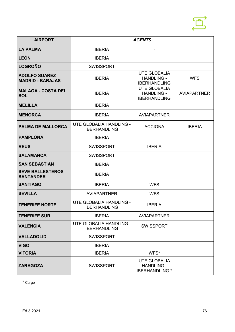

| <b>AIRPORT</b>                                  | <b>AGENTS</b>                                  |                                                                 |                    |
|-------------------------------------------------|------------------------------------------------|-----------------------------------------------------------------|--------------------|
| <b>LA PALMA</b>                                 | <b>IBERIA</b>                                  |                                                                 |                    |
| LEÓN                                            | <b>IBERIA</b>                                  |                                                                 |                    |
| <b>LOGROÑO</b>                                  | <b>SWISSPORT</b>                               |                                                                 |                    |
| <b>ADOLFO SUAREZ</b><br><b>MADRID - BARAJAS</b> | <b>IBERIA</b>                                  | <b>UTE GLOBALIA</b><br><b>HANDLING -</b><br><b>IBERHANDLING</b> | <b>WFS</b>         |
| <b>MALAGA - COSTA DEL</b><br><b>SOL</b>         | <b>IBERIA</b>                                  | <b>UTE GLOBALIA</b><br><b>HANDLING -</b><br><b>IBERHANDLING</b> | <b>AVIAPARTNER</b> |
| <b>MELILLA</b>                                  | <b>IBERIA</b>                                  |                                                                 |                    |
| <b>MENORCA</b>                                  | <b>IBERIA</b>                                  | <b>AVIAPARTNER</b>                                              |                    |
| <b>PALMA DE MALLORCA</b>                        | UTE GLOBALIA HANDLING -<br><b>IBERHANDLING</b> | <b>ACCIONA</b>                                                  | <b>IBERIA</b>      |
| <b>PAMPLONA</b>                                 | <b>IBERIA</b>                                  |                                                                 |                    |
| <b>REUS</b>                                     | <b>SWISSPORT</b>                               | <b>IBERIA</b>                                                   |                    |
| <b>SALAMANCA</b>                                | <b>SWISSPORT</b>                               |                                                                 |                    |
| <b>SAN SEBASTIAN</b>                            | <b>IBERIA</b>                                  |                                                                 |                    |
| <b>SEVE BALLESTEROS</b><br><b>SANTANDER</b>     | <b>IBERIA</b>                                  |                                                                 |                    |
| <b>SANTIAGO</b>                                 | <b>IBERIA</b>                                  | <b>WFS</b>                                                      |                    |
| <b>SEVILLA</b>                                  | <b>AVIAPARTNER</b>                             | <b>WFS</b>                                                      |                    |
| <b>TENERIFE NORTE</b>                           | UTE GLOBALIA HANDLING -<br><b>IBERHANDLING</b> | <b>IBERIA</b>                                                   |                    |
| <b>TENERIFE SUR</b>                             | <b>IBERIA</b>                                  | <b>AVIAPARTNER</b>                                              |                    |
| <b>VALENCIA</b>                                 | UTE GLOBALIA HANDLING -<br><b>IBERHANDLING</b> | <b>SWISSPORT</b>                                                |                    |
| <b>VALLADOLID</b>                               | <b>SWISSPORT</b>                               |                                                                 |                    |
| <b>VIGO</b>                                     | <b>IBERIA</b>                                  |                                                                 |                    |
| <b>VITORIA</b>                                  | <b>IBERIA</b>                                  | WFS*                                                            |                    |
| <b>ZARAGOZA</b>                                 | <b>SWISSPORT</b>                               | UTE GLOBALIA<br><b>HANDLING -</b><br><b>IBERHANDLING *</b>      |                    |

\* Cargo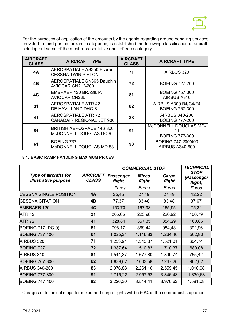

For the purposes of application of the amounts by the agents regarding ground handling services provided to third parties for ramp categories, is established the following classification of aircraft, pointing out some of the most representative ones of each category.

| <b>AIRCRAFT</b><br><b>CLASS</b> | <b>AIRCRAFT TYPE</b>                                            | <b>AIRCRAFT</b><br><b>CLASS</b> | <b>AIRCRAFT TYPE</b>                           |
|---------------------------------|-----------------------------------------------------------------|---------------------------------|------------------------------------------------|
| 4A                              | <b>AEROSPATIALE AS350 Ecureuil</b><br><b>CESSNA TWIN PISTON</b> | 71                              | AIRBUS 320                                     |
| 4B                              | AEROSPATIALE SN365 Dauphin<br>AVIOCAR CN212-200                 | 72                              | <b>BOEING 727-200</b>                          |
| 4C                              | <b>EMBRAER 120 BRASILIA</b><br><b>AVIOCAR CN235</b>             | 81                              | <b>BOEING 757-300</b><br>AIRBUS A310           |
| 31                              | <b>AEROSPATIALE ATR 42</b><br>DE HAVILLAND DHC-8                | 82                              | AIRBUS A300 B4/C4/F4<br><b>BOEING 767-300</b>  |
| 41                              | <b>AEROSPATIALE ATR 72</b><br>CANADAIR REGIONAL JET 900         | 83                              | <b>AIRBUS 340-200</b><br><b>BOEING 777-200</b> |
| 51                              | <b>BRITISH AEROSPACE 146-300</b><br>McDONNELL DOUGLAS DC-9      | 91                              | McDONNELL DOUGLAS MD-<br><b>BOEING 777-300</b> |
| 61                              | <b>BOEING 737</b><br>McDONNELL DOUGLAS MD 83                    | 93                              | BOEING 747-200/400<br><b>AIRBUS A340-600</b>   |

#### **8.1. BASIC RAMP HANDLING MAXIMUM PRICES**

|                                                      |                                 | <b>COMMERCIAL STOP</b>     | <b>TECHNICAL</b>       |                 |                                      |
|------------------------------------------------------|---------------------------------|----------------------------|------------------------|-----------------|--------------------------------------|
| <b>Type of aircrafts for</b><br>illustrative purpose | <b>AIRCRAFT</b><br><b>CLASS</b> | <b>Passenger</b><br>flight | <b>Mixed</b><br>flight | Cargo<br>flight | <b>STOP</b><br>(Passenger<br>flight) |
|                                                      |                                 | Euros                      | Euros                  | <b>Euros</b>    | Euros                                |
| <b>CESSNA SINGLE POSITION</b>                        | 4A                              | 25,45                      | 27,49                  | 27,49           | 12,22                                |
| <b>CESSNA CITATION</b>                               | 4B                              | 77,37                      | 83,48                  | 83,48           | 37,67                                |
| <b>EMBRAER 120</b>                                   | 4C                              | 153,73                     | 167,98                 | 165,95          | 75,34                                |
| <b>ATR 42</b>                                        | 31                              | 205,65                     | 223,98                 | 220,92          | 100,79                               |
| <b>ATR 72</b>                                        | 41                              | 328,84                     | 357,35                 | 354,29          | 160,86                               |
| <b>BOEING 717 (DC-9)</b>                             | 51                              | 798,17                     | 869,44                 | 984,48          | 391,96                               |
| <b>BOEING 737-400</b>                                | 61                              | 1.025,21                   | 1.116,83               | 1.264,46        | 502,93                               |
| AIRBUS 320                                           | 71                              | 1.233,91                   | 1.343,87               | 1.521,01        | 604,74                               |
| <b>BOEING 727</b>                                    | 72                              | 1.387,64                   | 1.510,83               | 1.710,37        | 680,08                               |
| AIRBUS 310                                           | 81                              | 1.541,37                   | 1.677,80               | 1.899,74        | 755,42                               |
| <b>BOEING 767-300</b>                                | 82                              | 1.839,67                   | 2.003,58               | 2.267,26        | 902,02                               |
| AIRBUS 340-200                                       | 83                              | 2.076,88                   | 2.261,16               | 2.559,45        | 1.018,08                             |
| <b>BOEING 777-300</b>                                | 91                              | 2.715,22                   | 2.957,52               | 3.346,43        | 1.330,63                             |
| <b>BOEING 747-400</b>                                | 92                              | 3.226,30                   | 3.514,41               | 3.976,62        | 1.581,08                             |

Charges of technical stops for mixed and cargo flights will be 50% of the commercial stop ones.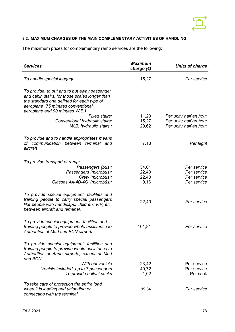

## **8.2. MAXIMUM CHARGES OF THE MAIN COMPLEMENTARY ACTIVITIES OF HANDLING**

The maximum prices for complementary ramp services are the following:

| <b>Services</b>                                                                                                                                                                                                     | <b>Maximum</b><br>charge $(E)$ | <b>Units of charge</b>  |
|---------------------------------------------------------------------------------------------------------------------------------------------------------------------------------------------------------------------|--------------------------------|-------------------------|
| To handle special luggage                                                                                                                                                                                           | 15,27                          | Per service             |
| To provide, to put and to put away passenger<br>and cabin stairs, for those scales longer than<br>the standard one defined for each type of<br>aeroplane (75 minutes conventional<br>aeroplane and 90 minutes W.B.) |                                |                         |
| Fixed stairs:                                                                                                                                                                                                       | 11,20                          | Per unit / half an hour |
| Conventional hydraulic stairs:                                                                                                                                                                                      | 15,27                          | Per unit / half an hour |
| W.B. hydraulic stairs.:                                                                                                                                                                                             | 29,62                          | Per unit / half an hour |
| To provide and to handle appropriates means<br>of communication between terminal and<br>aircraft                                                                                                                    | 7,13                           | Per flight              |
| To provide transport at ramp:                                                                                                                                                                                       |                                |                         |
| Passengers (bus):                                                                                                                                                                                                   | 34,61                          | Per service             |
| Passengers (microbus):                                                                                                                                                                                              | 22,40                          | Per service             |
| Crew (microbus):                                                                                                                                                                                                    | 22,40                          | Per service             |
| Classes 4A-4B-4C (microbús):                                                                                                                                                                                        | 9,16                           | Per service             |
| To provide special equipment, facilities and<br>training people to carry special passengers<br>like people with handicaps, children, VIP, etc.<br>between aircraft and terminal.                                    | 22,40                          | Per service             |
| To provide special equipment, facilities and<br>training people to provide whole assistance to<br>Authorities at Mad and BCN airports.                                                                              | 101,81                         | Per service             |
| To provide special equipment, facilities and<br>training people to provide whole assistance to<br>Authorities at Aena airports, except at Mad<br>and BCN                                                            |                                |                         |
| With out vehicle                                                                                                                                                                                                    | 23,42                          | Per service             |
| Vehicle included, up to 7 passengers                                                                                                                                                                                | 40,72                          | Per service             |
| To provide ballast sacks                                                                                                                                                                                            | 1,02                           | Per sack                |
| To take care of protection the entire load                                                                                                                                                                          |                                |                         |
| when it is loading and unloading or<br>connecting with the terminal                                                                                                                                                 | 19,34                          | Per service             |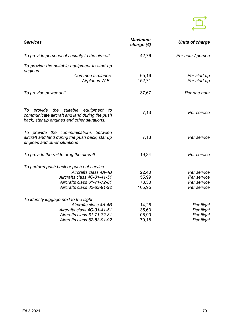

| <b>Services</b>                                                                                                                         | <b>Maximum</b><br>charge $(E)$ | <b>Units of charge</b> |
|-----------------------------------------------------------------------------------------------------------------------------------------|--------------------------------|------------------------|
| To provide personal of security to the aircraft.                                                                                        | 42,76                          | Per hour / person      |
| To provide the suitable equipment to start up<br>engines                                                                                |                                |                        |
| Common airplanes:                                                                                                                       | 65,16                          | Per start up           |
| Airplanes W.B.:                                                                                                                         | 152,71                         | Per start up           |
| To provide power unit                                                                                                                   | 37,67                          | Per one hour           |
| To provide the suitable equipment<br>to<br>communicate aircraft and land during the push<br>back, star up engines and other situations. | 7,13                           | Per service            |
| To provide the communications between<br>aircraft and land during the push back, star up<br>engines and other situations                | 7,13                           | Per service            |
| To provide the rail to drag the aircraft                                                                                                | 19,34                          | Per service            |
| To perform push back or push out service<br>Aircrafts class 4A-4B                                                                       | 22,40                          | Per service            |
| Aircrafts class 4C-31-41-51                                                                                                             | 55,99                          | Per service            |
| Aircrafts class 61-71-72-81                                                                                                             | 73,30                          | Per service            |
| Aircrafts class 82-83-91-92                                                                                                             | 165,95                         | Per service            |
| To identify luggage next to the flight                                                                                                  |                                |                        |
| Aircrafts class 4A-4B                                                                                                                   | 14,25                          | Per flight             |
| Aircrafts class 4C-31-41-51                                                                                                             | 35,63                          | Per flight             |
| Aircrafts class 61-71-72-81                                                                                                             | 106,90                         | Per flight             |
| Aircrafts class 82-83-91-92                                                                                                             | 179,18                         | Per flight             |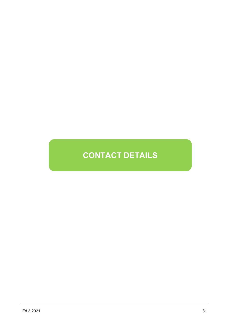# **CONTACT DETAILS**